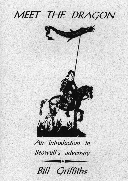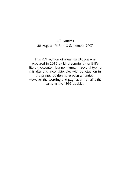#### Bill Griffiths 20 August 1948 – 13 September 2007

This PDF edition of *Meet the Dragon* was prepared in 2015 by kind permission of Bill's literary executor, Joanne Harman. Several typing mistakes and inconsistencies with punctuation in the printed edition have been amended. However the wording and pagination remains the same as the 1996 booklet.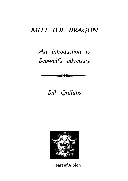# *MEET THE DRAGON*

*An introduction to Beowulf's adversary*

# *Bill Griffiths*



**Heart of Albion**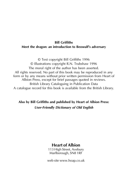#### **Bill Griffiths Meet the dragon: an introduction to Beowulf's adversary**

© Text copyright Bill Griffiths 1996 © Illustrations copyright R.N. Trubshaw 1996 The moral right of the author has been asserted. All rights reserved. No part of this book may be reproduced in any form or by any means without prior written permission from Heart of Albion Press, except for brief passages quoted in reviews. British Library Cataloguing in Publication Data A catalogue record for this book is available from the British Library.

**Also by Bill Griffiths and published by Heart of Albion Press:** *User-Friendly Dictionary of Old English*

#### **Heart of Albion**

113 High Street, Avebury Marlborough, SN8 1RF

web site [www.hoap.co.uk](http://www.hoap.co.uk)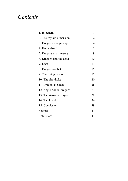# *Contents*

| 1. In general                 | 1  |
|-------------------------------|----|
| 2. The mythic dimension       | 2  |
| 3. Dragon as large serpent    | 4  |
| 4. Eaten alive!               | 7  |
| 5. Dragons and treasure       | 9  |
| 6. Dragons and the dead       | 10 |
| 7. Legs                       | 13 |
| 8. Dragon combat              | 15 |
| 9. The flying dragon          | 17 |
| 10. The fire-drake            | 20 |
| 11. Dragon as Satan           | 26 |
| 12. Anglo-Saxon dragons       | 27 |
| 13. The <i>Beowulf</i> dragon | 30 |
| 14. The hoard                 | 34 |
| 15. Conclusion                | 39 |
| Sources                       | 41 |
| References                    | 43 |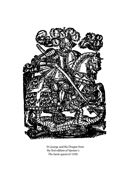

St George and the Dragon from the first edition of Spenser's *The faerie queen* of 1590.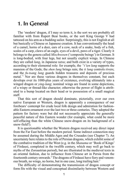# **1. In General**

The 'modern' dragon, if I may so term it, is the sort we are probably all familiar with from Rupert Bear books, or the sort King George V had tattooed on his arm as a budding sailor. Surprisingly, this is not English at all but basically a Chinese or Japanese creation. It has conventionally the head of a camel, horns of a deer, ears of a cow, neck of a snake, body of a fish, scales of a carp, claws of an eagle, eyes of a devil, paws of a tiger. Clearly it belongs to the genera called *Mischwesen* ('composite beings') in German. It is long-bodied, with four legs, but not usually explicit wings. In Chinese they are called *lung*, in Japanese *tatsu*; and both exist in a variety of types, according to their elemental role: for example, the *"t'ien lung* supports the mansion of the Gods; the *shen lung* brings rain; the *ti lung* controls rivers; and the *fu-tsang lung* guards hidden treasures and deposits of precious metal."1 Nor are these various dragons in themselves constant, but each develops over its 1000-plus years of existence, evolving ultimately into a winged dragon or *ying-lung*; nominal wings are found in some depictions, of a wispy or thread-like character; otherwise the power of flight is attributed to a bump located on their head or to possession of a small magical staff.

That this sort of dragon should dominate, pictorially, over our own native European or Western, dragon is apparently a consequence of our forebears' contempt for crude local folk design and admiration for fashionable Eastern ornament over the last two or three centuries. They adopted the pattern for factory ware but did not necessarily appreciate the generally peaceful nature of this Eastern wonder (for example, what could be more self-effacing than the white Chinese snow-dragon on its background of a snow-field?).

It is questionable whether the Western dragon received any direct input from the Far East before the modern period. Some indirect connection may be assumed during the Middle Ages and the Crusades (see Chapter 7). An uncertainty here relates to the role of Persian dragons, which exhibit some of the combative tradition of the West (e.g. in the *Shanama* or 'Book of Kings' of Firdausi, completed in the twelfth century, which may well go back to myths of the Zoroastrian period), but are illustrated in the medieval texts in an oriental fashion, due to influence from Chinese art in Persia from the fourteenth century onwards.<sup>2</sup> The dragons of Firdausi have fiery and venomous breath, no wings, no horns, but in one case, long trailing hair.<sup>3</sup>

The difficulty of demonstrating the transmission of dragon concept or form fits with the visual and conceptual dissimilarity between Western and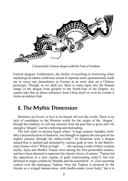

Characteristic Chinese dragon with the Pearl of Wisdom

Eastern dragons. Furthermore, the futility of ascribing to borrowing when mythological matter could have arisen in separate areas spontaneously leads me to reject any dependence in Europe at an early date on a Chinese prototype. Though, as we shall see, there is some input into the Roman image of the dragon from peoples to the North-East of the Empire, we cannot take this as direct influence from China itself or even be certain it forms an indirect link.

# **2. The Mythic Dimension**

Monsters are loved, or love to be feared, all over the world. There is no lack of candidates in the Western world for the origin of the 'dragon', though the tendency to call any monster from the past that is gross and vile enough a 'dragon', can be confusing and misleading.

The trail starts in ancient Egypt where "a huge serpent Apophis, probably a personification of darkness, was thought to oppose the sun-god on his nightly journey through the under-world."4 In Sumerian texts a dragon named Kur is tackled and defeated by various gods in turn. In the Babylonian *Enuma elish* ('When on high . . .' – the opening words of their creation myth), Apsu and Mother Tiamat were among the first primordial entities, and have been deemed to represent the chaotic forces of nature;<sup>5</sup> Tiamat led the opposition to a new regime of gods (representing order?), but was defeated in single combat by Marduk and dis-assembled - cf. Zeus asserting control over the analogous Typhon. Now the Typhon is pictured by the Greeks as a winged human-torso, with double-snake lower body,<sup>6</sup> but it is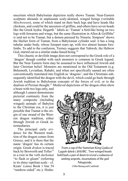uncertain which Babylonian depiction really shows Tiamat. Near-Eastern sculpture abounds in unpleasant scaly-skinned, winged beings (veritable *Mischwesen*), some of which stand on their back legs and have heads like chickens, and could be the ancestors of griffins, and others have seven heads like the Greek hydra; Hogarth<sup>7</sup> labels as 'Tiamat' a bird-like being on two legs with forearms and wings, but the same illustration in Allen  $\&$  Griffiths<sup>8</sup> is said not to be Tiamat, but a demon pursued by Ninurta. Simpson<sup>9</sup> shows the likelier form of Tiamat, from a Babylonian cylinder seal: it has a long tubular snake body, whose forepart rears up, with two almost human forelimbs. To add to the confusion, Tierney suggests that Yahweh, the Hebrew God, started out as a similar snake-based being.<sup>10</sup>

This chaotic or devilish image does not correspond to the Greek role of a 'dragon' though combat with such monsters is common in Greek legend. But the Near Eastern form may be assumed to have influenced Jewish and later Christian belief. Monsters are mentioned in the Old Testament (e.g. Behemoth, Leviathan, Rahab), and when not specifically named are often conventionally translated into English as 'dragons'; and the Christians subsequently identified the dragon with the devil, which could go back through Jewish tradition to Babylonian concepts of the forces of evil, or to the dualism of Persian thought.<sup>11</sup> Medieval depictions of the dragon often show

a beast with two legs only, and although I cannot demonstrate pictorial continuity from the many composite (including winged) animals of Babylon to the Christian era, it is just possible that Tiamat is the origin of one strand of the Western dragon tradition, either through Jewish or Greek intermediaries.

The principal early evidence for the Western tradition of the dragon comes from Greece, and it is there that the name 'dragon' has its certain origin. Greek *drakon* is traced back by Bosworth and Toller<sup>12</sup> to a root in the verb *darkomai* "to flash or gleam" (referring to its shiny reptilian scale – cf. Keats' *Lamia* Book 1 line 54 "rainbow-sided" etc.); Hraba-



From a cup of the Sumerian King Gudea of Lagash dated c.2025BC. Two winged beasts hold back a pair of doors to reveal a caduceus of uniting serpents, incarnations of the god Ningizzida. (After Baring and Cashford)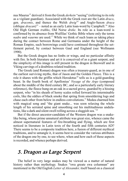nus Maurus<sup>13</sup> derived it from the Greek *derkein* "seeing" (referring to its role as a vigilant guardian). Associated with the Greek root are the Latin *draco*, gen. *draconis*, and thence the Welsh *dreig*<sup>14</sup> and Anglo-Saxon *draca* (oblique  $dracan$ <sup>15</sup> – noted as an early Latin loan-word by Campbell.<sup>16</sup> Also Old High German *trahho*, Old Norse *dreke*. Its role as a loan-word is confirmed by its absence from Wulfilas' Gothic Bible where only the terms *nadre* and *waurms* are used.<sup>17</sup> While we think of such loans as taking place during the contact between Rome and Germania under the height of the Roman Empire, such borrowings could have continued throughout the settlement period, by contact between Gaul and England (see Wollmann 1990).

But the Greek dragon has no limbs or wings, and no particular affinity with fire. In both literature and art it is conceived of as a giant serpent, and the simplicity of this image is still present in the dragon in Beowulf and in Viking carvings of a doubtlessrelated tradition.

The Greek (and Roman) dragon was often a treasure-guard, as in one of the earliest surviving myths, that of Jason and the Golden Fleece. This is a role it shares with the griffin which Herodotus<sup>18</sup> tells us is a gold-guarding beast. In the fourth book of Apollonius' *Voyage of the Argo* (composed about the middle of the third century BC, and so a particularly early literary reference), the fleece hung on an oak in a sacred grove, guarded by a hissing serpent, who "in his sheath of horny scales rolled forward his interminable coils, like the eddies of black smoke that spring from smouldering logs and chase each other from below in endless convolutions." Medea charmed him with magical song and "the giant snake... was soon relaxing the whole length of his serrated spine and smoothing out his multitudinous undulations, like a dark and silent swell rolling across a sluggish sea."<sup>19</sup>

But if the direct ancestor-candidate of the Western dragon was a snakelike being, whose prime unnatural attribute was great size, whence came the almost supernatural features of fire-breathing and flying, which are first noticed in literature in Latin texts of the fourth and fifth centuries AD? There seems to be a composite tradition here, a fusion of different mythical traditions, and to untangle it, it seems best to consider the various attributes of the dragon one by one, to see where, when and how each of these aspects is recorded, and whence perhaps derived.

# *3. Dragon as Large Serpent*

The belief in very large snakes may be viewed as a matter of natural history rather than mythology. Snakes "swa greate swa columnan" are mentioned in the Old English *Letter of Alexander,* itself based on a classical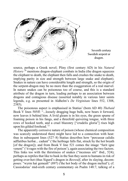

Seventh century Swedish serpent or dragon.

source, perhaps a Greek novel; Pliny (first century AD) in his *Natural History* <sup>20</sup> mentions dragon-elephant combats in India (the dragon squeezes the elephant to death, the elephant then falls and crushes the snake to death, implying parity in size and strength between large snake and elephant). Snakes in nature can have considerable length and strength, so the origin of the serpent-dragon may be no more than the exaggeration of a real marvel. In nature snakes can be poisonous too of course, and this is a standard attribute of the dragon in turn, leading perhaps to an association between dragons and contagious disease (asserted notably in various later saints legends, e.g. as presented in Aldhelm's *De Virginitate* lines 552, 1308, 2385).

The poisonous aspect is emphasised in Statius' (born AD 40) *Thebaid* Book V lines 505ff: "...loosely dragging huge bulk, now bears it forward, now leaves it behind him. A livid gleam is in his eyes, the green spume of foaming poison in his fangs, and a threefold quivering tongue, with three rows of hooked teeth, and a cruel blazonry ["crudelis gloria"] rises high upon his gilded forehead."21

The apparently corrosive nature of poison (whose chemical composition was scarcely understood then) might have led to a connection with heat: thus in subsequent lines (527–8) Statius describes how "percussæ calidis adflatibus herbæ... cadunt" ('the herbiage falls flat, struck by the hot breath [of the dragon]); and from Book V line 521 comes the image "furit igne veneni" ('it rages with the fire of poison'), again associating the two factors. This links too with the thirstiness of snakes ("incensus siti" ibid., 524); perhaps as reptiles that like to bask in the Sun they seem to humans in risk of getting over-hot (thus Sigurd's dragon in *Beowulf*, after its slaying, decomposes: "wyrm hat gemealt" (897) ('the hot body of the dragon melted'); cf. Cassiodorus' mid-sixth century commentary on Psalm 148:7, talking of a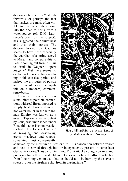dragon as typified by "naturali fervore"); or perhaps the fact that snakes are most often visible to man when they come into the open to drink from a water-source (cf. D.H. Lawrence's poem on the subject), has suggested their thirstiness and thus their hotness. The dragon tackled by Cadmus seems to have been especially the guardian of a spring sacred to Mars;<sup>22</sup> and compare this to Fafnir coming out from his lair to drink in Wagner's opera *Siegfried*. But there seems no explicit reference to fire-breathing in this classical period, and indeed the attributes of poison and fire would seem incompatible on a (modern) commonsense basis.

There are however occasional hints at possible connections with real fire as opposed to simply heat. Thus a domestic hot-water boiler in the late Roman Empire was known as a *draco*; Typhon, after its defeat by Zeus, was imprisoned under Etna; this same Typhon was described in the Homeric Hymns<sup>23</sup> as ravaging and destroying crops, meadows and woods, something most conveniently



Sigurd killing Fafnir on the door jamb of Hylestad stave church, Norway.

achieved by the medium of heat or fire. This association between venom and heat is carried through into or independently present in some later Germanic stories. Thus  $Saxo^{24}$  tells how Frothi attacks a dragon on an island, preparing himself with a shield and clothes of ox hide to afford protection from "the biting venom", so that he should not "be burnt by the slaver it spews. . . nor the virulence shot from its darting jaws."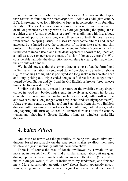A fuller and indeed earlier version of the story of Cadmus and the dragon than Statius' is found in the *Metamorphoses* Book 3 of Ovid (first century BC). In seeking water for a libation to Jupiter in connection with founding the city of Thebes, Cadmus' companions are attacked (bitten, squeezed to death, or poisoned by deadly breath) by a dragon guarding the spring. It has a golden crest ("cristis praesignis et auro"), eyes glinting with fire, a body swollen with poison, a triple tongue and three rows of teeth. It lives in a cave from which the spring issues. It hisses ("horrendaque sibila") and, when attacked by a hurled rock, the toughness of its iron-like scales and skin protect it. The dragon falls a victim in the end to Cadmus'spear on which it is induced to impale itself, and in its death agonies is shown to be, uncoiled, as tall as a tree or perhaps the mast of a ship ("longa . . . trabe"). With considerable latitude, the description nonetheless is clearly derivable from the attributes of a snake.

We should note also that the serpent-dragon is most often the form found in Germanic illustration: an engraved stone from Uppland, Sweden,<sup>25</sup> shows Sigurd attacking Fafnir, who is portrayed as a long snake with a crested head and long, poking-out, triple-ended tongue (cf. three-forked tongue mentioned by both Statius and Ovid and the Old English reference "þreo-snæcce tungan hæfð seo næddre.")<sup>26</sup>

Similar is the basically snake-like nature of the twelfth century dragon carved in wood as it battles with Sigurd, in the Hylestad Church in Norway (though this has a more mammalian or ferocious head, with a ruff or crest and two ears, and a long tongue with a triple end, and two big upper teeth<sup>27</sup>). A late eleventh century door-hinge from Staplehurst, Kent shows a limbless dragon, with two wings, a short neck, head with long toothed jaws, and a long tapering tail. Brinsop Church in Herefordshire has a twelfth century tympanum<sup>28</sup> showing St George fighting a limbless, wingless, snake-like dragon.

### *4. Eaten Alive!*

One cause of terror was the possibility of being swallowed alive by a dragon, based presumably on the way some snakes swallow their prey whole and digest it internally without the need to chew.

There is of course the case of Jonah, swallowed by a whale or seamonster; in *Jeremiah* ch.51, we find a similar image: "absorbuit me quasi draco, replevit ventrem suum teneritudine mea, et effecit me." ('It absorbed me as a dragon would, filled its inside with my tenderness, and finished me'). More surprisingly, an Attic vase<sup>29</sup> shows Jason, apparently unconscious, being vomited from the maw of a giant serpent at the intervention of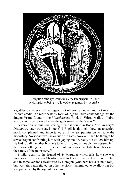

depicting Jason being swallowed (or regorged) by the snake.

a goddess, a version of the legend not otherwise known and not much to Jason's credit. In a more easterly form of legend, Indra contends against the dragon Vritra, found in the *Mahabharata* Book 5: Vritra swallows Indra, who can only be released when the gods invented the Yawn.<sup>30</sup>

A variation on this swallowing theme is found in Book 2 of Gregory's *Dialogues*, later translated into Old English: this tells how an unsettled monk complained and importuned until he got permission to leave the monastery. No sooner was he outside the gates however, than he thought he saw a dragon confronting him with gaping mouth, ready to swallow him up. He had to call the other brothers to help him, and although they assured him there was nothing there, the recalcitrant monk was glad to be taken back into the safety of the monastery.<sup>31</sup>

Similar again is the legend of St Margaret which tells how she was imprisoned for being a Christian, and in her confinement was confronted and in some versions swallowed by a dragon (who here has a satanic role), but was later regurgitated; in other versions it attempted to swallow her but was prevented by the sign of the cross.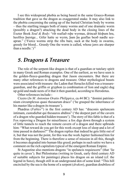I see this widespread phobia as being based in the same Graeco-Roman tradition that gave us the dragon as exaggerated snake. It may also link to the phobia concerning the eating up of the buried Christian body by worms – thus the startling images both of many worms and of one dramatic worm (possibly a dragon?) attacking the dead body in the closing lines of the Exeter Book *Soul & Body*: "rib reafiað reþe wyrmas, drincað hloþum hra, heolfres þurstge... Gifer hatte se wyrm, þam þa geaflas beoð nædle sceapran." ('Fierce worms strip the ribs bare, suck at the body in swarms, greedy for blood... Greedy One the worm is called, whose jaws are sharper than a needle.' $)^{32}$ 

### *5. Dragons & Treasure*

The role of the serpent-like dragon is that of a guardian or tutelary spirit in many Greek and Roman examples. One of the earliest, as we have seen is the golden-fleece-guarding dragon that Jason encounters. But there are many other references to dragons and treasure. Other mythological beasts were associated with treasure: the Ladon that Heracles killed was a treasureguardian, and the griffin or gryphon (a combination of lion and eagle) dug up gold and made nests of it that it then guarded, according to Herodotus.

Other references include:-

Cicero (*In M. Antoniun Oratio Philippica*, ca.44 BC): "domini patrimonium circumplexus quasi thesaurum draco" ('he grasped the inheritance of his master like a dragon its treasure').

Phædrus (*Fables*<sup>33</sup>) in the first century AD has: "draconis speluncam intimam, custodiebat qui thesauros abditos" ('the deepest part of the cavern of a dragon who guarded hidden treasure'). The story of this fable is that of a Fox reproving a Dragon for miserliness: a fox digs down through a system of little tunnels to reach the remote cavern of a dragon and there upbraids him: "What reward do you get for this work except loss of sleep and a lot of time passed in darkness?" The dragon replies that indeed he gets little out of it, but that was not the point, for this was the work Jupiter fashioned him for from the beginning. There is therefore a sense of mission in all this, though it becomes degraded into human-like greed; perhaps in such satire we have a comment on the rich capitalists typical of the emergent Roman Empire.

St Augustine also mentions dragons "in speluncis requiescere" (that 'lie quite in caves'). But Philostratus (writing in Greek, early third century AD of suitable subjects for paintings) places his dragon on an island (cf. the legend in Saxo), though still in an underground den of some kind: "This hill encircled by the sea is the home of a serpent (*drakon*), guardian doubtless of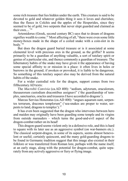some rich treasure that lies hidden under the earth. This creature is said to be devoted to gold and whatever golden thing it sees it loves and cherishes; thus the fleece in Colchis and the apples of the Hesperides, since they seemed to be of gold, two serpents that never slept guarded and claimed as their own $1.34$ 

Artemidorus (Greek, second century BC) says that to dream of dragons signifies wealth to come.<sup>35</sup> Most affecting of all, "there were even some little money-boxes made in the shape of a coiled snake with a coin-slot in its body."36

But does the dragon guard buried treasure or is it associated at some elemental level with precious ores in the ground, as the griffin? It seems primarily to be a guardian of anything valuable, a sort of tutelary spirit or genius of a particular site, and thence commonly a guardian of treasure. The hibernatory habits of the snake may have given it the appearance of having some special affinity to or mission in a place: it often lives in holes or burrows in the ground; if awoken or provoked, it is liable to be dangerous. So something of this tutelary aspect also may be derived from the natural habits of the snake.

For a wider custodial role for the dragon, support comes from two fifthcenturyAD texts:

The *Macrobii Convivia* (ca.AD 400): "aedium, adytorum, oraculorum, thesaurorum custodiam dracontibus assignavi" ('the guardianship of temples, sanctuaries, oracles and treasures I have accorded to dragons').

Marcus Servius Honoratus (ca.AD 400): "angues aquarum sunt, serpentes terrarum, dracones templorum" ('sea-snakes are proper to water, serpents to land, dragons to temples'). $37$ 

It has even been suggested that the dragon who intervenes between hero and maiden may originally have been guarding some temple and its virgins from outside marauders – which turns the good-and-evil aspect of the dragon-combat rather on its head!

This dragon-guard seems violent only in a defensive role, and this is hard to square with its later use as an aggressive symbol (on war-banners etc.). The classical serpent-dragon, in some of its aspects, seems almost benevolent or useful; certainly quiescent, and the many gold-guarding dragons to be found in Germanic tradition suggest that this image also existed in their folklore or was transferred from Roman lore, perhaps with the name itself, at an early stage, along with the potential for dragon-combat, quite separately from any actively aggressive or fiery or flying image.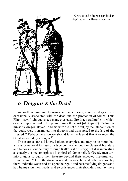

King Harold's dragon standard as depicted on the Bayeux tapestry.

### *6. Dragons & the Dead*

As well as guarding treasures and sanctuaries, classical dragons are occasionally associated with the dead and the protection of tombs. Thus Pliny<sup>38</sup> says "...in quo specu mane eius custodire draco traditur" ('in which cave a dragon is said to keep guard over the spirit [of Scipio]'). Cadmus – himself a dragon-slayer – and his wife did not die but, by the intervention of the gods, were transmuted into dragons and transported to the Isle of the Blessed.<sup>39</sup> Perhaps here too we should take the legend that Alexander the Great was sired by a dragon. $40$ 

These are, as far as I know, isolated examples, and may be no more than a transformational fantasy of a type common enough in classical literature and famous in our century through Kafka's short story; but it is interesting as exactly this metamorphosis is typical of Norse beliefs. Greedy men turn into dragons to guard their treasure beyond their expected life-time; e.g. from Iceland: "Hellir the strong was under a waterfall and father and son lay there under the water and sat upon their gold and became flying dragons and had helmets on their heads, and swords under their shoulders and lay there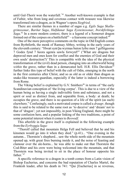until Gul-Thorir won the waterfall.<sup>"41</sup> Another well-known example is that of Fafnir, who from long and covetous contact with treasure was likewise transformed into a dragon, asin Wagner's opera *Siegfried*.

There are similar themes in a number of sagas e.g. *Egils Saga Skallagrimssonar*, *Barðar Saga*, *Halfdanar Saga Eysteinssonar*, *Þorskfirðinga Saga*. <sup>42</sup> In a more modern context, there is a legend of a Somerset dragon formed out of the corpses on a battlefield<sup>43</sup> – a fearsome concept indeed.<sup>44</sup>

One of the more perceptive comments on the topic in Old English comes from Byrhtferth, the monk of Ramsay Abbey, writing in the early years of the eleventh century: "Hwæt synt þa wyrmas buton lyðre men 7 geflitgeorne 7 Godes fynd 7 heora agenra sawla forwyrd?" ('What are dragons but depraved men and ones keen for conflict and the enemies of God and their own souls' destruction?)' This is compatible with the idea of the physical transformation of the (evil) dead person, changing into an otherworld being *within* the grave, rather than in a demarcated hell. H.R. Ellis Davidson<sup> $45$ </sup> further links this type of belief with the cult of Odin, emerging in the north in the first centuries after Christ, and so as old as or older than dragon as snake-like treasure-guardian, especially if the latter is indeed a borrowing from Rome.

The Viking belief is explained by G.V. Smithers<sup>46</sup> in terms of "the early" Scandinavian conception of 'the living corpse'. This is due to a view of the human being as having a single indivisible form and substance, and not a spirit or soul as distinct from, and separable from, a body: at death; he occupies the grave, and there is no question of a life of the spirit (as such) elsewhere." Confusingly, such a motivated corpse is called a *draugr*, though this is said to be related to the same root as 'to deceive' and 'dream' not to that of 'dragon'; yet not impossibly, in post-Viking England, there might be some confusion here, and a popular linking of the two traditions, a point of some potential interest when it comesto *Beowulf*.

This afterlife in the grave itself is explained in the following example from the *Eyrbyggja Saga:*

"Thorolf called that mountain Helga Fell and believed that he and his kinsmen would go into it when they died." (p.41)... "One evening in the autumn... Thorstein's shepherd... saw the whole north side of the mountain opened up, with great fires burning inside it, and the noise of feasting and clamour over the ale-horns... he was able to make out that Thorstein the Cod-Biter and his crew were being welcomed into the mountain, and that Thorstein was being invited to sit in the place of honour opposite his father<sup>"47</sup>

A specific reference to a dragon in a tomb comes from a Latin vision of Bishop Eucherius, and concerns the bad reputation of Charles Martel, the Frankish leader, after his death in 741: "Qui [Eucherius] in se reversus,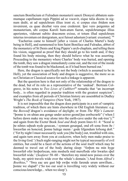sanctum Bonifacium et Fulradum monasterii sancti Dionysii abbatem summumque capellanum regis Pippini ad se vocavit, eique talia dicens in signum dedit, ut ad sepulchrum illius irent et, si corpus eius ibidem non invenirent, ea quae dicebat vera esse crederent. Ipsi vero pergentes ad monasterium, ubi corpus Karoli hum-atum fuerat, sepulchrumque illius aperientes, viderunt subito draconem exisse, et totum illud sepulchrum interius inventum est denigratum, acsi fuisset adustum [variant: exustum].<sup>"48</sup>

'Eucherius came to himself [after a vision of Charles Martel's body being in Hell], and summoned to him Saint Boniface and Fulradus, abbot of the monastery of St Denis and King Pippin's arch-chaplain, and telling them his vision, suggested as proof that they should go to his tomb and, if they found his body missing, then they should believe what he was asserting. Proceeding to the monastery where Charles' body was buried, and opening the tomb, they saw a dragon immediately come out, and the rest of the inside of the tomb was found to be blackened, asif it had been burned out.'

Here, the dragon is specifically not the body (which is assumed to be in Hell), yet the association of body and dragon is suggestive, the more so as no Christian or Classical source for such a linkage is apparent.

But the question here is that not only of the relationship of the dragon to the dead, but of its role as a representative of the 'undead'. Bertram Colgrave, in his notes to *Two Lives of Cuthbert*<sup>49</sup> remarks that "an incorrupt body... is often regarded in popular tradition with the greatest suspicion<sup>"</sup>; and examples from all periods of Christian history are assembled in Dudley Wright's *The Book of Vampires* (New York, 1987).

It is not impossible that the dragon does participate in a sort of vampiric tradition, of which there are hints elsewhere in Old English literature: e.g. the *Beowulf* dragon's avoidance of daylight; or from *The Wife's Lament*: "þonne ic on uhtan ana gonge under actreo geond þas eorðscræfe" ('when I before dawn make my way alone into the earth-cave under the oak-tree');<sup>50</sup> and again from the Exeter Book *Soul and Body* poem lines 61–4: "Sceal ic þe nihtes seþeah nyde gesecan, / synnum gesargad, ond eft sona from ðe / hweorfan on honcred, þonne halege menn / gode lifgendum lofsong doð." ('Yet by night I must necessarily seek you [the body] out, troubled with sins, and again turn away from you at cockcrow, when holy men make praise to the living God.') Such night-ranging might not be typical necessarily of evil entities, but could be a facet of the actions of the soul itself which may be deemed to travel out of the body during sleep: "forþon nu min hyge hweorfeð ofer hreþerlocan, min modsefa mid mereflode ofer hwæles eþel hweorfeð wide.' (*Seafarer* 58–60 - 'therefore my mind now poises over the body, my spirit travels wide over the whale's domain.') And from *Alfred's Boethius*, <sup>51</sup> "Swa eac ure gast biþ swiþe wide farende urum unwillum... þonne we slapað" ('So too our soul is travelling very widely without our conscious knowledge... when we sleep').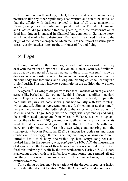The point is worth making, I feel, because snakes are not naturally nocturnal: like any other reptile they need warmth and sun to be active, so that the affinity with darkness (typical in fact of all three monsters in *Beowulf*) suggests a particular and separate tradition. For while Germanic and Classical dragons share a treasure-guarding role, the transformation of dead into dragon is unusual in Classical but common in Germanic story, which could mark a basic distinction. Perhaps this is indeed the key to the origin of the Germanic dragon, to which the Classical role of treasure-guard is easily assimilated, as later are the attributes of fire and flying.

### *7. Legs*

Though out of strictly chronological and evolutionary order, we may deal with the matter of legs next. Babylonian 'Tiamat', with two forelimbs, has already been noted. A Roman patera in the British Museum<sup>52</sup> shows a dragon-like sea-monster, snouted, long-eared or horned, long necked, with a bulbous body, two forelimbs, and a long-diminishing coiled tail ending in a triple flourish. This may indicate a continuity in the tradition that we know as a 'wyvern'.

A wyvern<sup>53</sup> is a winged dragon with two feet like those of an eagle, and a serpent-like barbed tail. Something like this is shown in a military standard on the Bayeux Tapestry, where we see a doughty little beast, gripping the pole with its jaws, its body sticking out horizontally with two forelegs, wings and tail. Similar representations are fairly common at that time:<sup>54</sup> there is the wyvern on the Jedburgh slab; the Kingswinford tympanum of Michael and the Dragon (early twelfth century), with apparent leg and wing; the similar-dated tympanum from Moreton Vallance also with leg and wings; the earlier (ca.1030) tympanum at Southwell, with ruff or crest on its head; the rather lion-like dragon of BL Cotton Tib. C.vi f.16, with ears, hairy or scaly body, two forelimbs, two wings and tapering tail; the (manuscript) Vatican Regin. lat.12 f.108 dragon has both ears and horns (mid-eleventh century); a thirteenth century painting at Wissington Church, Suffolk<sup>55</sup> has a thick body, one visible leg, bats' wings, long neck and beaked head. In the *Bamburger Apocalypse* (ca.1000 AD) the illustrations of dragons from the Book of Revelations have snake-like bodies, with two forelimbs and wings;<sup>56</sup> while by the thirteenth century Harley MS 3244 there is an orange dragon with four limbs, four wings, horns, long serrated tail and breathing fire - which remains a more or less standard image for many centuries to come  $57$ 

This gaining of legs may be a variant of the dragon proper or a fusion with a slightly different tradition. While the Graeco-Roman dragon, as also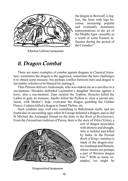

Moreton Vallence tympanum

the dragon in Beowulf, is legless, the form with legs becomes increasing popular and eventually dominates representations in the art of the Middle Ages - possibly as a result of some Eastern influence during the period of theCrusades?

# *8. Dragon Combat*

There are many examples of combat against dragons in Classical literature; sometimes the dragon is the aggressor, sometimes the hero challenges it to obtain some treasure; but perhaps conflict between hero and dragon is inevitable, whichever be blamed for starting it.

Thus Perseus delivers Andromeda, who was staked out as a sacrifice to a sea-monster. Herakles defended Laomedon's daughter Hesione against a *ketos,* also a sea-monster; Zeus tackled the Typhon; Heracles killed the Ladon to gain its treasure; Apollo killed the Python to clear a sacred site; Jason, with Medea's help, overcame the dragon guarding the Golden Fleece; Cadmus killed a dragon to found Thebes; etc.

Such combats may well owe something to Babylonian myth; and are found also in succeeding ages when St George defeated a dragon; and so did St Michael the Archangel (based on the hints in the *Book of Revelations*). From the Zoroastrian tradition of Persia, there is the story of Vrtra (Vritra), a



sort of dragon associated with dryness and drought, who is tackled and killed by Indra. In the Persian *Book of Kings*, mention is made of the dragon-slayers Gushtasp and Rustem, whose stories are perhaps a part of Western dragon lore.<sup>58</sup> With so many examples, we might be

Kingswinford tympanum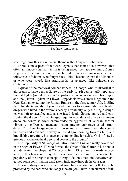

Southwell tympanum.

safer regarding this as a universal theme without any real coherence.

There is one aspect of the Greek legends that stands out, however - that often an innocent human victim is being saved, perhaps stemming from a stage when the Greeks resented such crude rituals as human sacrifice and told stories of victims who fought back – like Theseus against the Minotaur, or who were saved, like Andromeda, or avenged, like Iphigenia by Clytemnestra.

Typical of the medieval combat story is St George, who, if historical at all, seems to have been a figure of the early fourth century AD, reputedly born at Lydda (in Palestine? in Cappadocia?), who encountered his dragon at Silne (Beirut? Sylena in Libya). Cappadocia was a small kingdom in the Near East annexed into the Roman Empire in the first century AD. In Silne the inhabitants sacrificed youths and maidens to an insatiable and hostile dragon who lived in the swamps nearby. Eventually, only the king's daughter was left to sacrifice and, as she faced death, George arrived and confronted the dragon. "Tunc Georgius equum ascendens et cruce se muniens draconem contra se advenientem audaciter aggreditur at lanceam fortiter vibrans et se Deo commendans ipsum graviter vulneravit et ad terram dejecit." ('Then George mounts his horse and arms himself with the sign of the cross and advances bravely on the dragon coming towards him, and brandishing forcefully his lance and commending himself to God inflicted a grievous wound on the dragon and bore it to the ground.')

The popularity of St George as patron saint of England really developed in the reign of Edward III who formed the Order of the Garter in his honour and dedicated the chapel at Windsor to him (1348). Yet the ready acceptance of this hero-saint may also have owed something to the undoubted popularity of the dragon-concept in Anglo-Saxon times and thereafter; and gained some confirmation via Eastern influence through the Crusades.

It is not always an individual but sometimes a community that is to be protected by the hero who challenges the dragon. There is an element of this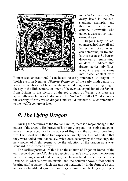

in the St George story; *Beowulf* itself is the outstanding example; and there is St Petro (sixth century, Cornwall) who tames a destructive, maneating dragon.

Dragons may be encountered in Cornwall and Wales, but not so far as I can determine, in Ireland. Is this because St Patrick drove out all snake-kind, or does it indicate that dragon stories only flourished in areas that came into close contact with

Roman secular tradition? I can locate no early references to dragons in Welsh even: in Nennius' *Historia Brittonum* of the early ninth century, a legend is mentioned of how a white and a red dragon were seen fighting in the sky in the fifth century, an omen of the eventual expulsion of the Saxons from Britain in the victory of the red dragon of Wales, but there are apparently no references to dragons in the *Gododdin*. Tatlock<sup>59</sup> indeed notes the scarcity of early Welsh dragons and would attribute all such references to the twelfth century or later.

# *9. The Flying Dragon*

During the centuries of the Roman Empire, there is a major change in the nature of the dragon. He throws off his purely serpent-like origins and gains new attributes, specifically the power of flight and the ability of breathing fire. I will deal with these two aspects separately, for it is not certain that they were added simultaneously. What does accompany the first step, the new power of flight, seems to be the adoption of the dragon as a warstandard in the Roman army.<sup>60</sup>

The earliest portrayal of this is on the column of Trajan in Rome, of the early second centuryAD. Here is depicted Trajan's victory over the Dacians in the opening years of that century; the Dacians lived just across the lower Danube, in what is now Roumania, and the column shows a foot soldier bearing aloft a banner which streams out horizontally in the form of a scaly and rather fish-like dragon, without legs or wings, and lacking any projec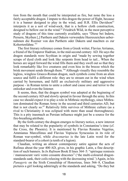tion from the mouth that could be interpreted as fire, but none the less a fairly acceptable dragon. I impute to this dragon the power of flight, because it is a banner designed to play in the wind, and H.R. Ellis Davidson $61$ interprets it as a sort of wind-sock, that is a hollow cloth construction, designed to bellow out in the wind.<sup>62</sup> Friedrich Wild, in the most perceptive study of dragons of this time currently available, says "Diese bei Indern, Persern, Skythen [,] Parthern and Dakern verwendete Heereszeichen uebernahmen die Roemer von den Parthern oder Dakern und machten es zur Kohortenfahne."63

The first literary reference comes from a Greek writer, Flavius Arrianus, a friend of the Emperor Hadrian, in the mid-second century AD. He says the dragon standards were Scythian in origin and "made by sewing together scraps of dyed cloth and look like serpents from head to tail... When the horses are urged forward the wind fills them and they swell out so that they look remarkably like live creatures and even hiss in the breeze which the brisk movement sends through them."<sup>64</sup> Although visually they resemble the legless, wingless Graeco-Roman dragon, such symbols come from an alien source and fulfil a different role: they are to stream out in the wind when carried by horsemen, and fulfil an exclusively military and aggressive purpose - in Roman terms to unite a cohort and cause awe and terror to the onlooker and even the listener.

It seems, then, that the dragon symbol was adopted at the beginning of the second century AD and slowly spread in favour through the army. In this case we should expect it to play a role in Mithraic mythology, since Mithraism dominated the Roman Army in the second and third centuries AD, but that is not clearly so.<sup>65</sup> Relatively little survives of Mithraic culture (as a rival to Christianity it was eclipsed with more than usual thoroughness). This is a pity inasmuch as Persian influence might just be a source for the fire-breathing attribute.

By the forth century the dragon emerges to literary notice, a new interest that may be related to the popularity of symbols in Constantine's time (cf. the Cross, the Phoenix). It is mentioned by Flavius Renatus Vegetius, Ammianus Marcellinus and Flavius Vopiscus Syracusius in its role of Roman war-symbol, while *draconarius* is the late Latin word for the standard-bearer of a cohort (a tenth of a legion).

Claudian, writing an almost contemporary satire against the acts of Rufinus about the year 400 AD, gives, in his graphic Latin, a fine description of such banners. In *In Rufinum* Book II lines 364–5: "spirisque remissis / mansuescunt varii vento cessante dracones" ('the multi-coloured dragonstandards sank, their coils relaxing with the decreasing wind.') Again, in his *Panegyric* on the Sixth Consulship of Honorious, lines 566–8, Claudian pictures a girl looking admiringly at the standards and asking, "Do they but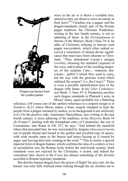

Dragon war-banner from the *Golden psalter.*

wave in the air or is theirs a veritable hiss, uttered as they are about to seize an enemy in their jaws?"66 Claudian was a pagan, and the dragon-standards clearly part of the Roman pagan tradition; the Christian Prudentius, writing in the late fourth century, is not so admiring of them: in the *Peristephanon* or Stories of the Martyrs, Book I lines 34–6, he talks of Christians refusing to honour such pagan war-symbols, which often indeed received a veneration of almost divine significance that must have been irksome to Christians: "They abandoned Caesar's ensigns (*vexilla*), choosing the standard (*signum*) of the cross, and in place of the swelling draperies of the serpents ("pro... ventuosis draconum... palliis") which they used to carry, led the way with the glorious wood which subdued the serpent" (i.e. the Cross). $67$  There is even a possible identification here of the dragon with Satan. In his *Liber Cathemerinon* Book 5, lines 55–6, Prudentius ascribes such dragon standards to Pharaoh's army in Moses' times, again probably not a flattering

reference. (Of course one of the earliest references to a serpent ensign is in *Numbers* ch.21 where Moses makes a brass serpent standard to heal the people from a plague initiated by snakes, so its background is not uniformly evil.) On the positive side, Ammianus Marcellinus, also writing in the late fourth century, is more admiring of the tradition; in his *Histories* Book 16 ch.10 para.7, dealing with the triumphant entry of Constantius, the son of Constantine, into Rome in AD 357, he says: "And behind the manifold others that preceded him: he was surrounded by dragons (*dracones*) woven out of purple thread and bound to the golden and jewelled tops of spears, with wide mouths open to the breeze and hence hissing as if roused by anger, and leaving their tails winding in the wind."68 This is clearly a special imperial form of dragon-banner, which confirms the idea of a century or two of assimilation into the Roman Army before the mid-fourth century. Such standards were not rejected by the Christians, it seems, and indeed the veneration later shown to the Cross has almost something of the divinity accorded to Roman legionary standards.

But did this banner-dragon have the power of flight? Its aery role, for the banner was only fully realised when rushing through the air, inclines me to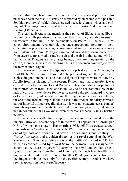believe, that though no wings are indicated in the earliest portrayal, this must have been the case. This may be supported by an example of a possible Scythian prototype $^{69}$  which shows crested neck, forelimbs, wings and coiling tail. This image may be related to the words *smoku* (Old Slavonic) and *smakas*(Lithuanian).

The learned St Augustine mentions their power of flight, "sine pedibus... in aerem sustolli perhibentur" ('without feet... yet they are able to sustain themselves in the air'). In his commentary on Psalm 148, he says: "Dracones circa aquam versantur, de speluncis procedunt, feruntur in aëra, concitatur propter eos aër. Magna quaedam sunt animantia dracones, maiora non sunt super terram." ('Dragons are coiled around the ocean, come forth from caverns, are carried through the air and the air is agitated into wind on that account. Dragons are very large beings, there are none greater on the earth.') Here he seems to be merging the Graceo-Roman cave-dragon with the new banner-dragon.

In the seventh century the Spanish Bishop Isidore in his *Etymologies* Book18 ch.3 'De Signis'tells us that "The principal signa of the legions are: eagles, dragons and balls... and that the signa of Dragons were instituted by Apollo from his slaying of the serpent Python, and that thereafter it was carried in war by the Greeks and Romans." This contradicts our picture of their introduction from Dacia and is unlikely to be accurate in view of the lack of corrobative evidence for the early use of a dragon-standard in Greek or Latin literature, but does show how the dragon-standard was accepted by the end of the Roman Empire in the West as a traditional and fairly harmless part of Imperial military regalia; that is, it is was not condemned (as banner) through any association with Biblical evil or imperial paganism, but continued in honour, as far as we know, even or perhaps especially in a Christian context.

There are specifically, for example, references to its continued use in the imperial army at Constantinople.<sup>70</sup> In the West, it appears in a Carolingian MS (of which more later). Hansmartin (1955, p659) associates dragon standards with Vandals and Langobards. Wild<sup>71</sup> notes a dragon-standard as one of symbols of the continental Saxons in Widukind's tenth century *Res Gestae Saxonicae*, and a golden dragon as the royal symbol of the West Saxon army.<sup>72</sup> This latter reference is to the Battle of Burford in AD 752, when an advance is led by a West Saxon ealdormann "regis insigne draconem scilicet aureum gerens" ('carrying the royal and golden dragon symbol'), but comes from Henry of Huntingdon's much later twelfth century account. Similarly the reference to Uther Pendragon's connection with the dragon symbol comes only from the twelfth century.<sup>73</sup> And, as we have seen, it appears on the Bayeux Tapestry.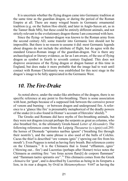It is uncertain whether the flying dragon came into Germanic tradition at the same time as the guardian dragon, or during the period of the Roman Empire at all. There are many winged beasts in Germanic ornamental tradition (e.g. on the Sutton Hoo shield, and later in Anglo-Saxon art, as in the Tanner Bede MS), but these could be entirely different animals, and not strictly relevant to the evolutionary dragon-theme I am concerned with here.

Since the flying- or banner-dragon was known to the Roman army from the second century AD, some transfer into Germanic lore should not be impossible. But there is no reason to assume it did: most Germanic legends about dragons do not include the attribute of flight, but do agree with the standard Graeco-Roman image of the guardian-dragon. Nor is there any archaeological or literary evidence, as far as I am aware, of the use of flying dragon as symbol in fourth to seventh century England. This does not disprove awareness of the flying dragon or dragon banner at this time in England, but does make it more probable that the image had to wait until contact with Roman Christianity was established for this next stage in the dragon's image to be fully appreciated in the Germanic West.

#### *10. The Fire-Drake*

As noted above, under the snake-like attributes of the dragon, there is no specific reference at any point to fire-breathing. There is some association with heat, perhaps because of a supposed link between the corrosive power of venom and burning – or between dragon and underground fire. A reference to a 'glance like fire'is presumably metaphorical of the deadly powers of the snake (it is also found in Homer's account of Hercules' shield).<sup>74</sup>

The Greeks and Romans did have myths of fire-breathing animals, but they were not dragons (except perhaps the serpents as great as columns, who also breathed fire, in the ultimately Greek-based *Letter of Alexander*). The following references come from the Leipzig *Thesaurus* (s.v.*ignis*) col.293: the horses of Diomede "spirantes naribus ignem" ('breathing fire through their nostrils'), and the same phrase is also used of the bulls of Colchis. Cacus the thief is described "ore vomens ignis" ('spewing out fire from his mouth'). Even Pegasus is noted as having fiery breath. But references centre on the Chimaera.<sup>75</sup> It is the Chimaera that is found "efflantem...ignis" ('blowing out... fire') and Lucretius (perhaps after Homer) twice notes the Chimaera as emitting fire: "ore foras acrem flare[t] de corpore flammam" and "flammam taetro spirantis ore".<sup>76</sup> This chimaera comes from the Greek *chimaira* for 'goat', and is described by Lucretius as being in its foreparts a lion, in its rear a dragon; by Ovid in *Metamorphoses* 9.647 as having the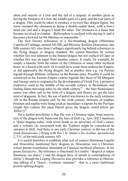chest and muzzle of a lion and the tail of a serpent; in another gloss as having the foreparts of a lion, the middle parts of a goat, and the rear parts of a dragon. This could be taken to produce a wyvern-like dragon figure, but some interpret the chimaera as being a double-ended beast, with a lion's head one end and a dragon's head the other. The chimaera is a beast that became involved in combat – Bellerophon is credited with slaying it; and it becomes a byword for the fabulous or impossible.<sup>77</sup>

The first literary references to a fire-breathing dragon (Martianus Capella of Carthage, around AD 500, and Blossius Æmilius Dracontius, late fifth century AD, also from Carthage) significantly lag behind references to the flying dragon or dragon standard. We cannot therefore be certain whether fire was inherent in the banner-dragon but not explicit till later or whether fire was an input from another source. It could, for example, be simply a transfer from the nature of the Chimaera or some other mythical beast, or a fusion with such. Or it could have come from without the Empire, as did apparently the flying dragon, but at another time e.g. via Persian legend through Mithraic influence in the Roman army. Possibly it could be reinforced in the Eastern Empire (where legends like those of SS Margaret and George seem to originate) by the development of Greek Fire, a primitive explosive, used in the middle of the seventh century in Byzantium, and fueling flame-throwing tubes by the ninth century<sup>78</sup> – the later Renaissance canon was often cast in the form of a dragon, and thence we get the later term of dragoons. In fact, the use of petrol was known in the early centuries AD in the Roman Empire and, by the sixth century, mixtures of sulphur, bitumen and naptha were being used as incendiary weapons by the Persians (might this explain the meal Daniel gives the dragon, noted below per  $\mathbb{E}$ lfric?)<sup>79</sup>

Yet a further possibility is that fire was a Christian input, from association of the dragon with Satan and the fires of Hell e.g. *Apoc*.XII.3 mentions a 'draco magnus rufus' with seven heads as an adversary of God's cause; and a volcano (as associated with the Typhon) might be considered an entrance to Hell. And there is one early Christian context, in the use of the word *flammivolus* ('flying with fire') in Arator's *De Actibus Apostolorum* 2, 531, of the mid-sixth centuryAD.

It is useful therefore to establish what sort of context Martianus Capella and Dracontius mentioned fiery dragons in. Dracontius was a Christian, whose poems nonetheless abounded in Classical mythical allusions. In his poem *Satisfactio* , the reference is functional in a simile: "despicit et talpas flammeus ore draco" ('and the dragon fiery of mouth is contemptuous of moles'), though the Leipzig *Thesaurus* also provides a reference to Dracontius talking of a "draco... evomens venenum" - that is, a more traditional poison-spitting dragon.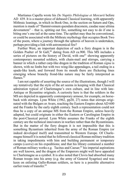Martianus Capella wrote his *De Nuptiis Philologiae et Mercurii* before AD 439. It is a master-piece of debased Classical learning, with apparently Mithraic leanings, in which in Book One, in the section on Saturn and Ops, mention is made of "flammivomum quendam draconem, caudae suae ultima devorantem" – that is, spitting out fire, something not easy to do if one is biting one's one tail at the same time. The epithet may thus be conventional, or could be associated with the Mithraic mythology that occupies Book Two of the poem, where a journey through the spheres of heaven is undertaken, perhaps providing a link with astronomical fire?

Further West, an important depiction of such a fiery dragon is in the Golden Psalter of St Gall,<sup>80</sup> dating from AD ca.900. This MS includes a series of pictures on the history of David, with one<sup>81</sup> showing apparently contemporary mounted soldiers, with chain-mail and stirrups, carrying a banner in which a rather carp-like dragon in the tradition of Roman *signa* is shown, with no limbs but with two wing-like appendages, a tail ending in a spade-like knob, and forward from its mouth there are flickering lines emerging whose branchy frond-like nature may be fairly interpreted as flames $82$ 

I am not capable of asserting the source of the illustrations, though I will say tentatively that the style of the art seems in keeping with that Classical admiration typical of Charlemagne's own culture, and in line with late-Antique or Byzantine originals. A curiosity here is that the soldiers in the MS are depicted in apparently contemporary armour, for example, on horseback with stirrups. Lynn White (1962, pp20, 27) notes that stirrups originated with the Bulgars or Avars, reaching the Eastern Empire about AD 600 and the Franks by the early eighth century. Such a representation could not thus be a copy of an antique MS from the Roman Empire, unless heavily adapted, but could originate in either the Eastern or Carolingian Empire in the post-Classical period. Lynn White assumes the Franks of the eighth century are the technical innovators in warfare rather than the Byzantinians. But in the matter of the fiery dragon it is not impossible that this is something Byzantium inherited from the army of the Roman Empire (or indeed developed itself) and transmitted to Western Europe. Of Charlemagne himself it is noted that he followed classical Roman military tradition in taking impedimenta with him and building permanent or temporary camps (*castra*) on his expeditions; and that his library contained a number of Roman military works e.g. Tacitus and Caesar;<sup>83</sup> his imperial aspirations are well known, and the dragon of the Emperors might well have appealed to Charlemagne as a symbol. It is also noted that Clovis had absorbed many Roman troops into his army (e.g. the army of General Syagrius) and was keen on enlisting Gallo-Roman soldiers, so here is a possible alternative earlier route of transfer.<sup>84</sup>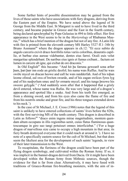Some further hints of possible dissemination may be gained from the lives of those saints who have associations with fiery dragons, deriving from the Eastern part of the Empire. We have noted above the legend of St George from the Middle East. St Margaret is said to have lived in the third century, and became popular in Greece and the East in the fourth century, being declared apochryphal by Pope Gelasius in 494 to little effect. Her first appearance in the West seems to be in the *Martyrology* of Rhabanus Maurus,<sup>85</sup> which has a brief mention of the dragon but not of any fire. A Latin life with fire is printed from the eleventh century MS Harley 5327 ff.1–34b by Bruno Assmann<sup>86</sup> where the dragon appears in ch.12: "Et ecce subito de angulo carceris exivit draco horribilis totus variis coloribus, deauratis capillie, et barbae eius aureae videbantur, dentes eius farrei. Oculi euis velut margaritae splendebant. De naribus eius ignis et fumus exibant... factum est lumen in carcere ab igne, qui exibat de ore draconis."

In Old English<sup>87</sup> this became: "And hit þa færuna gewearð sona æfter þam, þæt þær inn eode an grislic deofol; his nama wæs Ruffus. And he wæs swiðe mycel on dracan heowe and eall he wæs nædderfah. And of his toþan leome ofstod, eal swa of hwiten swurde, and of his eagan swilces fyres lyg and of his nasþyrlum smec and fyr ormæte mycel; and his tunge þreowe his sweore gelygde." ('And suddenly soon after that it happened that a grisly devil entered, whose name was Rufus. He was very large and of a dragon's appearance and spotted like a snake. And from his teeth fire emerged, as from a shining sword, and from his eyes also came the flame of fire and from his nostrils smoke and great fire, and his three tongues extended down to his neck.')

In the case of St Michael, J. E. Cross (1986) notes that the legend of this saint is unlikely to have entered collections of saints' lives before the 820s, with the first surviving MS of the tenth century. This dragon is described in Latin as follows<sup>88</sup> "draco enim ingens mirae magnitudinis, montem quendam altum occupans in illis regionibus uenit, cuius flatus flaminosus quantoscumque in giro suo tangi potuisset omnes interficiebat." ('For a huge dragon of marvellous size came to occupy a high mountain in that area; its fiery breath destroyed everyone that it could reach at around it.'). I have no note of a specifically eastern source for the cult of St Michael, but that does seem the likeliest area for the development of such saints' legends, in view of their later transmission to the West.

To recapitulate, the fieriness of the dragon could have been part of the flying dragon symbology, and cultivated within the Roman Army. If so, it was implicit in the banner-dragon derived from Dacia. Or it might have been developed within the Roman Army from Mithraic sources, though the evidence for that is far from clear. Alternatively, it may have fused with traditions of Graeco-Roman fire-breathing monsters, with the aim of in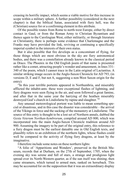creasing its horrific impact, which seems a viable motive for this increase in scope within a military sphere. A further possibility (considered in the next chapter) is that the biblical Satan, associated with fiery hell, was the (Christian) source for or a confirming element in this attribute.

Of the possible routes from Rome to north-west Europe, either by direct contact in Gaul, or from the Roman Army to Christian Byzantium and thence again to the Carolingian West, either militarily, or through literature or Christianity, there is perhaps some evidence that Charlemagne and the Franks may have provided the link, reviving or continuing a specifically imperial symbol in the interests of their own status.

But it also possible that fire develops as a concomitant of flying, for those things which are most obvious in the sky are fiery astronomical bodies, and there was a constellation already known in the classical period as Draco. The Phoenix in the Old English poem of that name is presented rather like a comet, attracting people's wonder and amazement, in lines 331- 340 of the poem, which I cannot trace in the Latin original of Lactantius. A similar striking image occurs in the Anglo-Saxon Chronicle for AD 793, (in versions D, E and F, but not A, suggesting a non-West Saxon origin for the entry):

"In this year terrible portents appeared in Northumbria, and miserably afflicted the inhabit-ants: these were exceptional flashes of lightning, and fiery dragons were seen flying in the air, and soon followed a great famine, and after that in the same year the harrying of the heathen miserably destroyed God's church in Lindisfarne by rapine and slaughter."89

Any unusual meteorological portent was liable to mean something special or disastrous, and in this case the disaster was considerable – the arrival of the Vikings in force and the sacking of the monastery at Lindisfarne. The source of this entry is thought to be a lost set of Northern annals, dubbed the *Gesta Veterum Northan-hymbrorum*, compiled around AD 800, which was incorporated into the main Anglo-Saxon Chronicle tradition around AD 900. Assuming the imagery to be part of the original entry, this reference to a fiery dragon must be the earliest dateable one in Old English texts, and plausibly refers to an exhibition of the northern lights, whose flashes could well be compared to the activity of flying fiery dragons, at least by the imaginative.

I therefore include some notes on these northern lights:

"A folio of 'Apparitions and Wonders', preserved in the British Museum, records that at Durham, on the 27th of September, 1705, when the evening sky was serene and full of stars, a strange and prodigious light spread over its North-Western quarter, as if the sun itself was shining; then came streamers, which turned to armed men, ranked on horseback. This may be accounted for on the supposition that it was an extraordinary display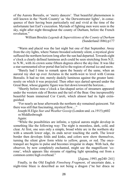of the Aurora Borealis, or 'merry dancers'. That beautiful phenomenon is still known in the 'North Country' as 'the Derwentwater lights', in consequence of their having been particularly red and vivid at the time of the unfortunate last Earl's execution. Myriads of fighting men were seen in the sky, night after night throughout the county of Durham, before the French revolution"

> William Brockie *Legends & Superstitions of the County of Durham* (Sunderland 1886) p177

"Warm and placid was the last night but one of that September. Away from the city lights, where Nature brooded solemnly silent, a mystical glow suffused the northern horizon long after the sun had departed. Towards eight o'clock a clearly defined luminous arch could be seen stretching from N.E. to N.W., with its crown some fifteen degrees above the sky-line. It was like a star-surmounted silver portal that led to the region of eternal ice and snow.

"Barely had I time to remark upon the beauty of the same, when an auroral ray shot up over Arcturus in the north-west to level with Corona Borealis. It had no tint; merely duskily luminous against the greater luminosity on which it was projected. Then other rays darted upward under the Great Bear, whose gigantic figure was feet down toward the horizon...

"Shortly before nine o'clock a fan-shaped series of streamers appeared under the western side of Bootes and the tail of the Bear. One inexpressibly beautiful beam immersed Cor Caroli, which almost had its light extinguished.

"For nearly an hour afterwards the northern sky remained quiescent. Yet there was still that fascinating, mystical flow...."

Joseph H.Elgie *Star and Weather Gossip* (London und. ca.1915) p602 re Middlesbrough

Again:

"While the possibilities are infinite, a typical aurora might develop in something like the following way: The night is moonless, dark, cold, and clear. At first, one sees only a simple, broad white arc in the northern sky with a smooth lower edge, its ends never touching the earth. The lower border then develops folds and kinks, and colors now show themselves, turning the silent glow form white to yellow, green, or red. The oncetranquil arc begins to pulse and becomes irregular in shape. With luck, the observer, by now completely enchanted, might see the magnificent 'corona', which appears like streams of rippling light spreading out from a common centre high overhead."

[Zajonc, 1993, pp240–241]

Finally, in the Old English *Finnsburg Fragment*, of uncertain date, a night-time blaze is described as not being a dragon ("ne her draca ne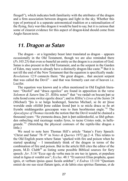fleogeð"), which indicates both familiarity with the attributes of the dragon and a firm association between dragons and light in the sky. Whether this type of portrayal is a separate astronomical tradition or a rationalisation of the flying, fiery war-like dragon it would be hard to say, but it is curious that some of clearest evidence for this aspect of dragon-kind should come from Anglo-Saxon texts.

# *11. Dragon as Satan*

The dragon – or a legendary beast later translated as dragon – appears occasionally in the Old Testament, though we are also reminded there (*Ps*.103.25) that even so baneful an entity as the dragon is a creation of God. Satan is also present in the Old Testament, and as the serpent in the Garden of Eden, may seem to already have a distinctly dragon-like caste.<sup>90</sup> But it is not till the end of the New Testament that the equation is specifically made: *Revelations* 12:9 connects them: "the great dragon... that ancient serpent that was called the Devil" – and that was formerly cast out of heaven i.e. Lucifer.

The equation was known and is often mentioned in Old English literature: "Deofol" and "draca egeslice" are found in apposition in the verse *Solomon & Saturn* line 25. Ælfric notes<sup>91</sup> that "we rædað on bocum þæt se reða feond come swilce egeslic draca"; and in Ælfric's *Lives of the Saints* 24 (Michael) "þis is se halga heahengel, Sanctus Michael, se ðe ær þisse worulde ende ofslihð þone ealdan feond þæt is se micla draca se ðe æt frymðe middangardes gesceapan wæs to ðam beorhtestan engle."92 The *Apocalypse of Thomas* records the notion that the Devil would be chained a thousand years: "Se ytemesta draca, þæt is þæt ealdordeoful, se lihð gebunden onbecling mid raceteage reades fyres, to tacne Cristes rode, in hellegrunde."93 (Stretching the physical contours of the reptile-like dragon a little.)

We need to note here Thomas Hill's article "Satan's Fiery Speech: 'Christ and Satan' 78–9" in *Notes & Queries* 1972 pp.2–4. This relates to the Old English poem where Satan 'sparked with fire and poison when he started speaking' – I immediately think of the dragon in terms of the combination of fire and poison. But in the article Hill cites the editor of the poem, M.D. Clubb<sup>94</sup> as listing some possible Biblical sources for fiery speech: *Jer*. 5:14 "Ecce ego de verba mea in ore tuo in ignem, et populum istud in ligna et vorabit eos"; *Ecclus*. 48:1 "Et surrexit Elias propheta, quasi ignis, et verbum ipsius quasi facula ardebat"; *4 Esdras* 13:110 "Quoniam emisit de ore suo sicut flatum ignis, et de labiis eius spiritus flammae, et de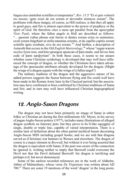lingua eius emittebat scintillas et tempestates"; *Rev*. 11:5 "Et si quis voluerit eis nocere, ignis exiet de ore eorum et devorabit inimicos eorum". The problems with these images, of course, as Hill realises, is that they all apply to good guys, and fire is almost equivalent to the power of prophecy or the spirit of God. He therefore cites a more apt parallel from the apocryphal *Visio Pauli*, where the fallen angels in Hell are described as follows: "... quorum vultus plenus erat furore et dentes eorum extra os eminentes; oculi eorum fulgebant ut stella matutina orientis, et de capillis capitis eorum scintille ignis exiebant, sive de ore eorum."95 And further, a description of Astaroth that occurs in the *Old English Martyrology*,<sup>96</sup> whose "eagan wæron swylce fyren iren, ond him sprungon spearcan of þam muðe, ond ful rec him eode of þæm næsþyrlum". In both these cases, it seems to me unsure whether some Christian symbology is developed that may well have influenced the concept of dragon, or whether the Christians have taken advantage of the spectacular attributes already developed for the dragon. (Might the wings of a dragon equate with the wings of a fallen angel?)

The military tradition of the dragon and the aggressive nature of his added powers suggests the fusion between flying and fire could well have been made in the Roman Army later in the Classical period; but the association may have confirmed or been confirmed by Christian traditions of Satan and fire; and in turn may well have influenced Christian hagiographical writing.

# *12. Anglo-Saxon Dragons*

The dragon may not have been primarily an image of Satan in either folkic or Christian art during the first millennium AD. Myres, in his survey of pagan Anglo-Saxon pottery (1977), includes many illustrations of alleged dragon symbols on funerary pots; but they prove to be S-like squiggles of single, double or triple line, capable of varied interpretation. There is a similar lack of definition about the often partial mythical beasts decorating Anglo-Saxon MSS including gospel books; and we are told that dragons served as (Christian) war banners in Wessex and elsewhere. The dragon of course is a major element in *Beowulf*, but without it ever being asserted that the dragon is equivalent with Satan; if the poet was aware of the connection he ignored it, wishing neither to imply that Beowulf could overcome the Devil nor that the Devil defeated Beowulf: his dragon is terrifying and perhaps evil, but never demoniacal.

Some of the earliest recorded references are in the work of Aldhelm, Abbot of Malmesbury, whose verse *De Virginitate* was written about AD 700.<sup>97</sup> There are some 19 mentions of the word 'dragon' in the long poem,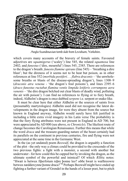

Anglo-Scandinavian tomb slab from Levisham, Yorkshire.

which covers many accounts of the bravery of female saints. Favoured adjectives are *squamigerus* ('scaley') line 545, the related *squamosa* line 2402; and *funestus* ('dire, mournful') lines 545, 2385. There are references to the dragon's breath: *funesto flamine spirans* (line 545) – 'breathing a dire blast'; but the direness of it seems not to be heat but poison, as in other references at line 552 (*morbida pestiferi. . . flabra draconis* – 'the unwholesome breaths or blasts of the disease-spreading dragon'), lines 1308–9 (*draconis atra venena* - 'the dragon's foul poisons'), and lines 2395–6 (*draco funestus ructabat flamina ventis limpida letiferis corrumpens aera venenis* – 'the dire dragon belched out clear blasts of deadly wind, polluting the air with poison'). I can find no references to flying or to fiery breath, indeed, Aldhelm's dragon is once dubbed *serpens*i.e. serpent or snake-like.

It must be clear here that either Aldhelm or the sources of saints lives (presumably martyrologies) Aldhelm used did not recognise the latest developments in the dragon image, for were they absent from the source but known in England anyway, Aldhelm would surely have felt justified in including a little extra vivid imagery in his Latin verse The probability is that the fiery flying attributes were not present in England in AD 700, but were appreciated byAD 800 (see above, re *Chronicle*). The likeliest route of change becomes the Carolingian Renaissance. Further this means that while the word *draca* and the treasure-guarding nature of the beast certainly had its parallels on the continent in previous centuries, fire and flying were not appreciated at the same time in the Germanic West.

In the (as yet undated) poem *Beowulf*, the dragon is arguably a function of the plot - the only way a climax could be provided to the crescendo of the two previous fights: a fight with a monster, a second with another but underwater - for how could this be capped but by invoking the dragon, as the ultimate symbol of the powerful and inimical? Of which Ælfric notes: "Hwæt is betwux fiþerfotum reþre þonne leo? oððe hwæt is wælhreowre betwux næddercynne þonne draca?"98 Perhaps Beowulf might have ended up fighting a further variant of Grendel in the hands of a lesser poet, but to pitch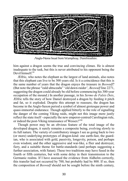

Anglo-Norse beast from Wamphray, Dumfriesshire.

him against a dragon seems the true and convincing climax. He is almost inadequate to the task, but this is never attributed to his opponent being the Devil himself<sup>99</sup>

Ælfric, who notes the elephant as the largest of land animals, also notes that this elephant can live to be 300 years old. Is it a coincidence that this is the same number of years that the dragon enjoys the treasure in *Beowulf*? (But note the phrase "eald uhtsceaða" 'old dawn-raider', *Beowulf* line 2271, suggesting the dragon could already be old before commencing his 300-year occupation of the mound.) In another passage, in his *Sermo de Falsis Deis*, Ælfric tells the story of how Daniel destroyed a dragon by feeding it pitch and fat, so it exploded. Despite this attempt to reassure, the dragon has become in the Anglo-Saxon period a symbol of almost grotesque power and quasi-immortal endurance. Though applied bitterly to the role of signalling the danger of the coming Viking raids, might not this image more justly reflect the state itself - especially the new emperor-centred Carolingian rule, or indeed the post-Viking renaissance of Wessex?<sup>100</sup>

Though power may be an obvious feature of the total image of the developed dragon, it surely remains a composite being, evolving slowly to its full nature. The variety of contributory images I see as going back to two (or more) underlying prototypes of dragon-kind: one earth-fast, the guardian, who is associated with gold, passivity, longevity, poison, and perhaps even wisdom; and the other aggressive and war-like, a flier and destroyer, fiery, and a suitable theme for battle-standards (and perhaps suggesting a further association, with Satan). These two traditions may have fused in the fourth or fifth centuries, but with some delay in their transmission to the Germanic realms. If I have assessed the evidence from Aldhelm correctly, this transfer had not occurred by 700, but probably had by 800. If so, then the composition of *Beowulf* should not be sought before the ninth century,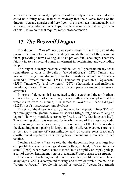and as others have argued, might well suit the early tenth century. Indeed it could be a fairly novel feature of *Beowulf* that the diverse forms of the dragon – treasure guarder and fiery flyer – are presented simultaneously, not without some contradiction perhaps, or at least some inconsistency, in terms of detail. It is a point that requires rather closer attention.

# *13. The Beowulf Dragon*

The dragon in *Beowulf* occupies centre-stage in the third part of the poem, as a climax to the two preceding combats the hero of the poem has faced, providing a new, exciting, and as it proves, fatal, challenge. That very fatality is, to a structural cynic, an element in heightening and concluding the plot.

The dragon is clearly the enemy and the *Beowulf* poet is not in any sense sympathetic towards it. He calls it "nacod niðdraca" (2273) ('naked and violent or dangerous dragon'; Swanton translates *nacod* as 'smoothskinned'), "weard unhiore" (2413) ('unnatural guardian'), "aglæcean" (2534) ('monster'), "atol inwitgæst" (2670) ('horrendous and malicious invader'); it is evil, therefore, though nowhere given Satanic or demoniacal attributes.

In terms of elements, it is associated with the earth and the air (perhaps contradictorily), and of course fire, but not with water, except in that hot water issues from its mound; it is named as *eorðdraca* – 'earth-dragon' (2825), but also as *legdraca* and *fyrdraca*.

The size of the dragon is clearly announced by the poet: in lines 3041–3: "grimlic gryrefah, gledum beswæled, se wæs fiftiges fotgemearces lang on legere" ('horribly mottled, scorched by fire, it was fifty feet long as it lay'). This stunning statistic is reserved for nearly the end of the dragon episode, when one may imagine, as it were, the more curious of the Geats uncoiling the dead dragon and pacing its length out, tip to tail. An exact measurement is perhaps a gesture of verisimilitude, and of course seals Beowulf's (posthumous) reputation in showing how tremendous a monster he had tackled.

Nowhere in *Beowulf* are we told that the dragon had legs or a large legcompatible body or even wings: it simply flies; on land, it "stonc ða æfter stane" (2286), where *stonc* seems to mean 'moved rapidly or leapt', perhaps a sort of uneven heaving motion (or zigzagging?) appropriate to a serpent.

It is described as being coiled, looped or arched, all like a snake. Hence *hringbogan* (2561), a compound of 'ring' and 'bow' or 'arch'; line 2827 has "wyrm wohbogan" - 'reptile mis-coiled' or 'crooked'; "gewat ða byrnende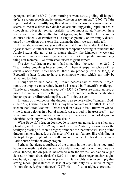gebogen scriðan" (2569) ('then burning it went away, gliding all loopedup'); "se wyrm gebeah snude tosomne, he on searwum bad" (2567–7) ('the reptile coiled itself swiftly together; it waited in its armour'). *Searwum* here seems to mean a defensive device or armour, suggesting reptilian scales (though an adverbial sense, 'craftily' is not impossible). Whether these scales were naturally multicoloured (*gryrefah*, line 3041, like the multicoloured Phoenix or Panther in Old English poems), or are simply discoloured by the effects of its own fire, during the fight, we can hardly tell.

In the above examples, you will note that I have translated Old English *wyrm* as 'reptile' rather than as 'worm' or 'serpent'; bearing in mind that the Anglo-Saxons did not classify nature rigidly like Linnæus, *wyrm* (and *wyrmcynn*) may seem useful general words in Old English, covering anything non-mammal-like, from small insect to giant serpent.

The *Beowulf* dragon probably had something like teeth: lines 2691–2 "heals ealne ymbefeng biteran banum", where it grips the whole of Beowulf's neck "with cruel bones"; these are probably teeth or fangs, as Beowulf is later found to have a poisonous wound which can only be attributed to a bite.

Though worm-kind does not, I think, possess ears as external projections, the dragon can certainly hear: he is roused by Beowulf's challenge - "hordweard oncniow mannes reorde" (2554–5) ('treasure-guardian recognised the human's voice') though he is not credited with understanding human speech or differentiating Beowulf's voice as such.

In terms of intelligence, the dragon is elsewhere called "wintrum frod" (line 2277) ('wise in age') but this may be a conventional epithet. It is also used in the Cotton Maxims: "Draca sceal on hlæwe, / frod, frætwum wlanc" ('the dragon belongs in a burial mound, wise, proud in its treasures') – not something found in classical sources, so perhaps an attribute of dragon as identified with longevity or even the dead?

What Beowulf's dragon does not do is make any noise; it is as silent as a phantom, unlike the *hwistlung* of snakes in the *Letter of Alexander* or the terrifying hissing of Jason's dragon; or indeed the inanimate whistling of the dragon-banners. Indeed, the absence of Classical features like whistling or the triple tongue might of itself call into question the likelihood of any direct Latin source for the *Beowulf* dragon.

Perhaps the clearest attribute of the dragon in the poem is its nocturnal habits – something it shares with Grendel's kind but not with reptiles as a class. Indeed, the dragon is introduced with the words "oð ðæt an ongan deorcum nihtum draca ricsian" (2210–11) ('until there began on dark nights one beast, a dragon, to show its power.') 'Dark nights' may even imply that strong moonlight disturbed it. It is at any rate only truly active at night: "nihtes fleogeð, fyre befangen" (2273–4) - 'it flies at night, engrossed in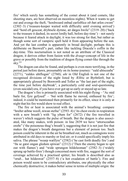fire' which surely has something of the comet about it (and comets, like shooting stars, are best observed on moonless nights). When it wants to get out and avenge the theft, "hordweard onbad earfoðlice oð ðæt æfen cwom" (2302–3) ('treasure-keeper waited with difficulty until evening arrived') and "hord eft gesceat, dryhtsele dyrnne, ær dæges hwile" (2319–20) ('back to the treasure it dashed, its secret lordly hall, before day-time') – not surely because it feared attack in daylight, it was too strong for that, but rather as though some sort of vampiric spell held it from appearing before the sun. And yet the last combat is apparently in broad daylight; perhaps this is deliberate on Beowulf's part, rather like tackling Dracula's coffin in the day-time. This nocturnalism is not noted as an attribute of the Classical dragon; it derives either from fusion with the *draugr*-concept of life in the grave or possibly from the tradition of dragon flying comet-like through the  $s$ kv $^{101}$ 

The dragon can also be found, and perhaps is even more terrifying, in the period just before dawn, presumably on its home-journey: "eald uhtsceaða" (2271), "ealdes uhtflogan" (2760); *uht* in Old English is not one of the recognised divisions of the night listed by Ælfric or Byrhtferð, but is appropriately glossed by Bosworth and Toller as "the last part of the night, the time just before daybreak", a particularly cold and soul-questioning (even suicidal) era, if you have ever got up so early orstayed up so late.

The dragon's fire is primarily associated with his night-flying – "Ac mid bæle for, fyre gefysed $\hat{r}$  – 'but with flame he moved, enthused by fire'; indeed, it could be mentioned then primarily for its effect, since it is only at night that hisfire would show to real effect.

The fire or heat is associated with the animal's breathing: compare "hreðer æðme weoll, niwan stefne" (2593–4) ('its chest swole in respiration with a new breath') with "lig yðum for" (2672) ('the fire travelled in waves') which suggests the pulse of breath. But the dragon is also associated, like many snakes, with poison: in line 2839 we have "attorsceaðan oreðe" ('the poisonous thug's breath'), suggesting that it is not just fire that makes the dragon's breath dangerous but a element of poison too. Such poison could be inherent in the air he breathed out, much as contagions were attributed in old days to marshy or foul air; or it could specifically imply his saliva. The phrase "wearp wælfyre" (2582) ('he cast forth deadly fire') and "ða se gæst ongan gledum spiwan" (2312) ('Then the enemy began to spit out with flames') and "wide sprungon hildeleoman" (2582–3) ('widely sprung up battle-fires') though concerned more with fire, suggest the sort of coverage achieved by a practised spitter; his breath is described also as "oruð... hat hildeswat" (2557–8) ('a hot exudation of battle'). Fire and poison would seem to be contradictory attributes, one physically the other chemically destructive; it makes better sense in terms of multiple origin: the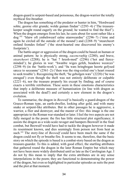dragon-guard is serpent-based and poisonous, the dragon-warrior the totally mythical fire-breather.

The dragon has something of the predator or hunter in him, "Hordweard sohte, georne ofer grunde; wolde guman findan" (2293–4) ('The treasurekeeper sought round eagerly on the ground; he wanted to find the thief'). When the dragon emerges from his lair, he casts about for scent rather like a dog:<sup>102</sup> "hlæw oft ymbehwearf ealne utanweardne" (2296–7) ('time and again he circled all the outside of the mound') and (2288–9) "stearcheort onfand feondes fotlast" ('the stout-hearted one discovered his enemy's footprints').

The battle-anger or aggression of the dragon could be based on human or animal pattern: he is physically strong, *eacencræftig* (2280), and brave, *stearcheort* (2288); he is "hat 7 hreoh-mod" (2296) ('hot and fierceminded'); he glories in war: "hwæðre wiges gefeh, beaduwe weorces" (2298–9) (in the 'battle-work'); and "ða wæs hringbogan heorte gefysed sæcce to seceanne" (2561–2) ('then was the ring-coiled one's heart roused to seek trouble'). Recognizing the theft, "he gebolgen wæs" (2220) ('he was enraged') even though the theft was not entirely deliberate or culpable (2221–6), nor the treasure properly his except by finding; and of course exacts a terrible retribution. These seem in these emotions characteristics that imply a deliberate measure of humanisation (in line with dragon as associated with the dead?) and certainly a new element in the dragon's evolution.

To summarise, the dragon in *Beowulf* is basically a guard-dragon of the Graeco-Roman type, an earth-dweller, looking after gold, and with many snake or serpent-like attributes. But in other passages he is aggressive, a warrior, a flier and destroyer, and the master of fire: this image is the one appropriate to the Roman war-standard or later. I feel the two aspects are not fully merged in the poem: the fire has little structural plot significance; it assists the dragon as a wide-scale ravager and hampers Beowulf in the final combat, but Beowulf would have had to tackle the dragon however it made its resentment known, and dies seemingly from poison not from heat as such.<sup>103</sup> The story-line of *Beowulf* could have been much the same if the dragon could not fly or breathe fire. It seems to me, therefore, that the basic story on which the episode is based is a combat-story based on the dragon as treasure-guarder. To this is added, with good effect, the startling attributes that gathered round the dragon in the later Roman Empire but which may not have been more widely distributed until as late as the Carolingian Age. I do not by this mean to imply that the extra attributes are in any sense interpolations in the poem; they are functional to demonstrating the power of the dragon, but even so highlighted in particular episodes as suits the poet and the plot at that moment.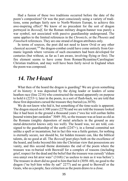Had a fusion of these two traditions occurred before the date of the poem's composition? Or was the poet consciously using a variety of traditions, some perhaps fairly new to North-Western Europe, to achieve this awe-inspiring effect? We know of no precedent for the sort of dragon portrayed in *Beowulf*, for the Roman military dragon-banner was purely a war symbol, not associated with passive guardianship underground. The same applies to the limited references in the *Chronicle*, or the *Phoenix* and *Finnsburh* references. They are one strand of dragon attributes only.

In terms of sources, the poet did not need to know Ovid or any other classical account;<sup>104</sup> the dragon-combat could have come entirely from Germanic legends where versions of such encounters had been developed for centuries (but without, as far as I am aware, involving flying or fire). The fire element seems to have come from Roman/Byzantine/Carolingian/ Christian tradition, and may well have been fairly novel in England when the poem was composed.

### *14. The Hoard*

What then of the hoard the dragon is guarding? We are given something of its history: it was deposited by the dying leader or leaders of some heathen race (line 2216) who constructed the mound apparently on purpose to hold it (2233+); later in the poem, in a sort of flash-back, we are told that these first depositors cursed the treasure they buried (ca.3070).

We do not know who hid it, but something of the time-scale is apparent. The dragon stayed on it 300 years (2278) and we are told the treasure looked like it had been in the ground a thousand years ("swa hie wið eorðan fæðm þusend wintra þær eardodon" 3049–50), so the treasure was at least as old as the Romans (mighty depositors of metal artefacts in the ground as any metal-detectorist knows only too well). The hoard was, we are told, consigned to the guardianship of the earth  $(2247+)$ , in a formal committal not unlike a spell or incantation; but in fact this was a futile gesture, for nothing is eternally secure, nor should be, for hidden treasure can, like the biblical talents, do no good at all. The *Beowulf* poet plays both on the excellence of the hoard, and looks beyond this into the Christian view that possessions are vanity, and this second theme dominates the end of the poem where the treasure was re-buried with Beowulf for a complex of reasons (including grief, respect for the dead and the belief that the treasure was cursed) "eldum swa unnyt swa hit æror wæs" (3168) ('as useless to men as it was before'). The treasure in short did no good to him that hid it (3058–60), no good to the dragon ("ne byð him wihte ðy sæl" 2277) and no good to Beowulf or the Geats, who as a people, face extinction asthe poem draws to a close.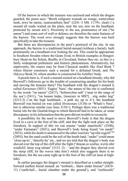Of the barrow in which the treasure was enclosed and which the dragon guarded, the poem says: "Beorh eallgearo wunode on wonge, wæteryðum neah, niwe be næsse, nearocræftum fæst" (2241–3 MS. f.179v, clear) ('a mound all ready waited on the plain, near the sea, new on the headland, protected by secure arts'). Proximity to the sea, prominence of site ("be næsse") and some sort of wall or defence are therefore the main features of the barrow. The word *niwe* strongly suggests that the barrow was built specifically to take the treasure.

But there are discrepancies in the poet's portrayal of the site. In one approach, the barrow is a traditional burial-mound (without a burial), built prominently on a headland over looking the sea. This could be appropriate to Southern Sweden where the Geats lived, to British examples at Hengistbury Head on the Solent, Boulby in Cleveland, Sutton Hoo etc. as this is a fairly widespread prehistoric and historic phenomenon. Alternatively, but unprovenly, the source may be from Classical models like *Iliad* Book 7 where Hector constructs such a mound for a defeated Greek, and *The Odyssey* Book 24, where another is constructed for Achilles' body.

A puzzle here is, if such a mound existed on a headland already, why did Beowulf's followers go to the trouble of constructing another for his body and moving the treasure there? The headland with the dragon's mound is called *Earnanæs* (3031) 'Eagles' Ness'; the nature of the site is confirmed by the words "on næsse" (2417), "holmwylme neh" ('near to the surge of the sea') (2411), "on heaum hæþe, [insecure in MS?]... stig under læg" (2212-3) ('on the high heathland... a path lay up to it'); the headland Beowulf was buried on was called *Hronesnæs* (3136) or 'Whale's Ness', but is otherwise similar (see lines 3156+). Perhaps there was a traditional burial site for the Geatish kings to which Beowulf had to be taken, or some discrepancy in his information that the poet did not trouble to reconcile.

A possibility for the need to move Beowulf's body is that the dragon lived in a cave at the foot of the cliff, and that the fight took place on the foreshore. In support of this we can muster "under stancleofu" (2540), "under Earnanæs" (3031); and Beowulf's body being found "on sande" (3033), while his death is announced to the other warriors "up ofer ecgclif"105 (2893); but the sand could be the soil of the heath-land, "under" could mean 'close-up-to', 'directly-by' etc., and we are told that the dragon's body was shoved over the top of the cliff after the fight ("dracan ec scufun, wyrm ofer weallclif, leton weg niman"  $(3131-2)$  – 'and the dragon they shoved over the steep cliff, let the waves take him') which also suggests there is no foreshore, but the sea came right up to the foot of the cliff (at least at hightide).

In earlier passages the dragon's mound is described as a rather straightforward earthen burial mound: an "eorðsele... hlæw under hrusan" (2410– 11) ('earth-hall... burial chamber under the ground'), and "eorðscrafa"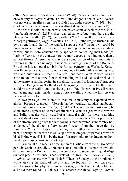(3046) 'earth-cave', "dryhtsele dyrnne" (2320), ('a noble, hidden hall') and once simply as "wyrmes denn" (2759), ('the dragon's den or lair'). Access was not easy: "nealles swæslice sið alyfed inn under eorðweall" (3089–90) - ('not convenient at all wasthe way-in afforded under the earth-rampart').

We are also told that the barrow comprises stone as well as earth. It is a "stanbeorh steapne" (2213) ('sheer-walled stone-refuge') and there are the phrases "on wealle" (2307), "æt wealle" (2526), as well as the sentiment "beorges getruwode, wiges 7 wealles" (2322–3) - ('the dragon trusted in his own strength and that of the wall'). I suppose *weall* on its own could be taken as some sort of earthen rampart encircling the mound or even a natural barrier, but is more conventionally applied to something man-made (cf. Latin *vallum*) so in the context here we may expect something more than a natural feature. Alternatively, may be a combination of built and natural features implied. A clue may lie in some surviving mounds of the Romano-British period: a mound-tomb in the Roman cemetery at Warbank, Keston near Bromley, Kent, was originally a mound of earth with a retaining ringwall and buttresses, 29 feet in diameter; another at West Mersea was an earth-mound with a three-foot thick retaining wall and a closed brick vault at the centre; a similar design in a prehistoric mound is found on Cairnapple Hill near Bathgate in Scotland - cf. Newgrange in Ireland. Or the 'wall' could be a ring-wall round the site e.g. as at Foel Trigarn in Preseli where earlier mounds exist inside a ring of stone walling when the hill-top was later made into a fort.

In two passages this theme of man-made masonry is expanded with almost baroque grandeur: "Geseah þa be wealle... stondan stanbogan, stream ut þonan brecan of beorge" (2542+). The *stanbogan* must surely be stone-arches, typical of Roman architecture (I cannot agree with Bosworth and Toller that the word is used of a "natural arch", for there is nothing natural about a stone arch in a man-made earthen mound). The significance of the stream issuing from the *stanbogan* is that the water is unbearably hot, evidence of the dragon's fiery nature. I recoil from the suggestion by Lawrence<sup>106</sup> that the dragon is relieving itself; rather the stream is permanent, a spring that because it wells up near the dragon (or perhaps provides his drinking water?) is hot by the fact of its proximity to the dragon, or from the dragon's association with hot sites.

This account also recalls a description of Carlisle from the Anglo-Saxon period: "Sabbato ergo die... hora nona considerantibus illis murum civitatis, et fontem in ea a Romanis mire olim constructam, secundun id quod Waga civitatis praepositus ducens eos revelavit...." (from the *Anonymous Life of Cuthbert*, written ca. 699, Book 4 ch.8: 'Then on Sunday... at the ninth hour, while viewing the walls of the city and the fountain in them once constructed wonderfully by the Romans, as Waga, prefect of the city told them as he led them round...'). This was also entered into Bede's *Life of Cuthbert*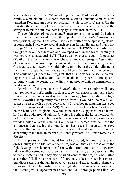written about 721 (ch.27): "Venit ad Lugubalium... Postera autem die deducentibus eum civibus ut videret moenia civitatis fontemque in ea miro quondam Romanorum opere extructum... " ('He came to Carlisle. On the next day the citizens took them round to see the walls of the city and the spring or fountain built into them long ago in fine Roman work....').

The combination of hot water and Roman arches brings to mind a bath or spa of the sort mentioned in the Old English poem *The Ruin*: "stream hate wearp widan wylme" ('the stream hotly cast forth a wide-spreading flow') or some such. There were several such spas in Roman Britain and many hot springs,  $107$  but the most famous (and hottest, at  $109-120$ °F), is at Bath itself; thought to have been decayed and swamped over in the fourth century, it was not re-excavated until 1871. There was however an equally famous set of baths in the Roman manner at Aachen, serving Charlemagne. Association of dragon and hot-water spa is not made, as far as I am aware, in any Classical source; indeed it would only seem to be in the colder climate of north-west Europe that warm water would be a feature worth notice at all. This could be significant for it suggests that this Romanesque scenic colouring is not a Classical source feature at all, but a piece of atmospheric painting within the poem, to give dignity and pseudo-antique dimensions to the dragon's lair.

By virtue of this passage in *Beowulf*, the rough retaining-wall now features some sort of dignified arch or arcade with a hot spring issuing from it. And the theme is pursued in a second passage, from just after the fight when Beowulf is temporarily recovering from his wounds: "he bi wealle... gesæt on sesse: seah on enta geweorc, hu ða stanbogan stapulum fæste ece eorðreced innan healde" (2716–9) ('he sat by the wall on a bench and gazed on the handiwork of giants, how the stone-arches, supported on columns, held up the underground hall inside'). *Sess* is perhaps the Latin word *sessio,* 'a formal session, or a public bench on which such took place'; a *stapol* is a wooden pillar or stone column. So Beowulf is seated outside, near the entrance, and can see into the mound; but what he sees is not an earthen cave but a well-constructed chamber with a vaulted roof on stone columns, apparently in the Roman manner (cf. "enta geweorc" of Roman remains in *The Ruin*).

This explains why the mound has not collapsed, burying treasure and dragon alike; it also fits into a poetic progression, that as the tension of the fight develops, the chamber transforms with it, from some sort of dingy cave into a well-constructed treasure-chamber fitting the great occasion and the valuable contents. But it may also be significant that the dragon, who started as a rather folk-like, earthen sort of figure, now takes its place in a more a grandiose setting as though the poet was aware and expected his audience to be aware, of the relationship between high status, Romanesque work, and the distant past, as apparent in Britain and Gaul through poems like *The*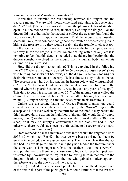*Ruin,* or the work of Venantius Fortunatus.<sup>108</sup>

It remains to examine the relationship between the dragon and the treasure-mound. We are told "hordwynne fond eald uhtsceaða opene standan" (2270-1) ('the aged dawn-raider found the pleasurable hoard standing open') i.e. the mound was vacant, unclosed, awaiting the dragon. For the dragon did not either make the mound or collect the treasure, but found the two awaiting him in happy conjunction. That the mound was unsealed seems unlikely, for if someone had gone to the trouble of constructing it and hiding the treasure in it, they would surely take the trouble to close it too. But the poet, with an eye for realism, has to leave the barrow open, so there is a way in for the dragon. (Unless we are dealing with a cave?) Yet it is tempting to feel that this detail is included to avoid any implication that the dragon somehow evolved in the mound from a human body; rather his external origin is stressed.

How did the dragon happen along? This is explained in the following line (2272) where the dragon is called "se ðe byrnende biorgas seceð" ('one who burning hot seeks out barrows') i.e. the dragon is actively looking for desirable treasure-mounds to occupy. He has almost a duty to do so: hence "He gesecan sceall hord on hrusan, þær he hæðen gold warað wintrum frod" (2275–7) ('he has to seek out [or is in the habit of doing so] treasure in the ground where he guards heathen gold, wise in the many years of his age'). This duty to guard is also met in lines 26–7 of the gnomic verses called the Cotton Maxims mentioned above: "Draca sceall on hlæwe, frod, frætwum wlanc" ('Adragon belongs in a mound, wise, proud in his treasure.')

Unlike the unsleeping habits of Graeco-Roman dragons on guard (Phaedrus stresses the vigilance of the dragon), the *Beowulf* dragon falls asleep, and is not even woken by the intrusion of the thief. It may be that the thief entered during during daylight hours (though this would hardly apply underground?) or that the dragon took a while to awake after a 300-year sleep; or it may be simply a convenience of the plot (for had it been otherwise, there would have been no theft leading to discovery of the hoard, and no third part to *Beowulf*.)

Here we need to pause a minute and take into account the enigmatic lines 3058–60 which open Fitt 42: "þa wæs gesyne þæt se sið ne ðah þæm ðe unrihte inne gehydde wræte under wealle" ('Then it was clear that the act had had no advantage for him who unrightly had hidden the treasure under the stone-work'). This ought to refer to the heathen – the 'lone survivor' – who put the treasure there, and whose aim to hide it for ever had just been frustrated by Beowulf's heroism; but the following lines in fact refer to the dragon's death, as though he was the one who gained no advantage and therefore was also the one who hid the treasure.

Tripp (1983) addresses this exact point. He feels (and the damaged state of the text in this part of the poem gives him some latitude) that the treasure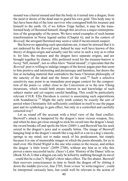mound was a burial mound and that the body in it turned into a dragon, from the need or desire of the dead man to guard his own gold. This body may in fact have been that of the lone survivor who consigned both his treasure and himself to the earth. Or, if we follow Tripp further, it may be the transformed body of Heremod himself, though this involves a major reinterpretation of the geography of the poem. We have noted examples of such human transformation in Norse legend earlier (Chapter 6), and in the context of *Beowulf*, the arrogant Heremod may seem a valid if inconvenient suspect.

But however appealing such speculations are, it must be stressed that it is not endorsed by the *Beowulf* poet. Indeed he may well have known of this theory of dragon-origin and actually cast his verse in such a way as to rebut it; for him, the treasure and the dragon have separate origins, and are brought together by chance. (His preferred word for the treasure-barrow is *beorg* "hill, mound", not so often *hlæw* "burial mound".) I speculate that the *Beowulf* poet is willing to indulge images of the heroic pagan past that seem to him positive and interesting and picturesque and harmless, but draws the line at including material that contradicts the basic Christian philosophy of the sanctity of the dead and the future of the soul.<sup>109</sup> Such a selective sensitivity may point to an immediate post-pagan context for the composition of the poem i.e. either close to the Conversion or to the new Viking incursions, which would both ensure interest in and knowledge of such subject matter and yet require careful handling. This could be particularly relevant if H.R. Ellis Davidson is correct is associating such superstitions with Scandinavia.<sup>110</sup> Might the early tenth century be exactly the sort of period when Christianity felt sufficiently confident in itself to use the pagan past and its symbology to gain effect, but only in a controlled and carefully censored way?

Let us round off the account with a brief view of the final conflict. Beowulf's attack is hampered by the dragon's most vicious weapon, fire; and when he does get close enough to stick his sword into the dragon's head, the sword breaks off and spoils the blow (2680+), and Beowulf has his neck seized in the dragon's jaws and is soundly bitten. The image of Beowulf hanging limp in the dragon's mouth like a rag-doll or a rat in a dog's muzzle, springs to my mind, not to make mock of his predicament, but simply because it is one of memorable images in which the poem abounds, for us to mull over. His friend Wiglaf is the one who comes to the rescue, and strikes the dragon 'a little lower' (2699–2700), without any hint as to why this proves a more successful tactic. (Saxo's Latin 'History of the Danes'tells us (Book XI ch.3) that a dragon can only be killed by stabbing through its navel – could this be a clue?). Wiglaf's blow takes effect. The fire abates. Beowulf then recovers consciousness in time to finish the dragon off by slitting it down the middle (*forwrat*, line 2705, from *writan* 'to write/engrave', could be interpreted variously here, but could well be relevant to the action of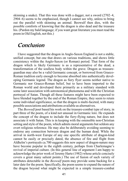skinning a snake). That this was done with a dagger, not a sword (2702–4, 2904–6) seems to be emphasised, though I cannot see why, unless to bring out the parallel with skinning an animal. Beowulf then dies, with the possible comforts of knowing that the dragon is also dead and the treasure his. (Pardon my bald language; if you want great literature you must read the poem in Old English, not this.)

### *Conclusion*

I have suggested that the dragon in Anglo-Saxon England is not a stable, unified concept, but one that draws on various traditions, and shows little consistency within the Anglo-Saxon (or Roman) period. That form of the dragon which is likely Germanic is as a representative of the dead, a transformation of the soulless body within the grave. Dragon as treasureguardian may also be a valid Germanic concept, or borrowed from Graeco-Roman tradition early enough to become absorbed into authentically developing Germanic legend. The dragon as fiery flyer seems neither native to Germanic nor Graeco-Roman belief, but to have been imported to the Roman world and developed there primarily as a military standard with some later association with astronomical phenomena and with the Christian portrayal of Satan. Though all these features might have been expected to have blended together by the end of the Roman Empire, they seem to retain some individual significance, so that the dragon is multi-faceted, with many possible associations and attributions available as alternatives.

The *Beowulf* poet based his work on the treasure-combat type of story, in part three of the poem, of a kind not unusual in Germanic lore. He expands the concept of the dragon to include the fiery-flying nature, but does not associate it with Satan. This is in keeping with the ostensible non-Christian setting and style of the poem, which admits moral arguments but seldom any overt religious reference. He may also be deliberately avoiding seeming to endorse any connection between dragon and the human dead. While the arrival in north-west Europe of any one specific attribute of dragon-kind cannot be easily or precisely dated, the absence of fire and flight from Aldhelm's portrayals ca.700 suggests this new aspect of dragon-nature may have become popular in the eighth century, perhaps from Charlemagne's revival of imperial culture. (In this general line of argument I am happy to acknowledge the prior work of Jeremy Harte (1982) whose article concisely covers a great many salient points.) The use of fusion of such variety of attributes detectable in the *Beowulf* poem may provide some backing for a later date for the poem. Specifically, the poem seems to expand the nature of the dragon beyond what might be expected in a simple treasure-combat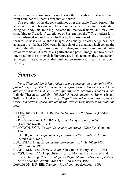narrative and to show awareness of a width of traditions that may derive from a number of hitherto unreconciled sources.

The evolution of the dragon continued after the Anglo-Saxon period. The attribute of flying became regularised in the depiction of wings; a standard elongated body and four legs became the medieval norm, and may owe something to Crusaders' experience of Eastern models.<sup>111</sup> The modern form is re-confirmed and influenced further by the closeness of this final Western form to Chinese and Japanese images. An equally radical change has been apparent over the last 2000 years in the role of the dragon, which covers the state of the afterlife, treasure-guardian, dangerous combatant, and identification with Satan. It remains a significant and potent image; but few critical interpretations or portrayals in literature are likely to match the grandeur and archetypal malevolence of that built up so many years ago in the poem *Beowulf*.

# *Sources*

*Note: Time and funds have ruled out the construction of anything like a full bibliography. The following is therefore more a list of works I have quoted from in the text. For Latin quotations in general I have used The* Leipzig Thesaurus *and for Old English word meanings,* Bosworth and Toller's Anglo-Saxon Dictionary. *Regrettably other standard reference works and editions of texts remain in abbreviated form in situ in footnotes or text.*

- ALLEN, Judy & GRIFFITHS, Jeanne *The Book of the Dragon* (London, 1979)
- BARING, Anne and CASHFORD, Jules *The myth of the goddess* (Harmondsworth, 1991)
- BRANDON, S.G.F. *Creation Legends of the Ancient Near East* (London, 1963)
- BROCKIE, William *Legends & Superstitions of the County of Durham* (Sunderland, 1886)
- BUCHTHAL, Hugo *Art in the Mediterranean World AD100 to 1400* (Washington, 1983)
- CLUBB, M.D. (ed.) *Christ & Satan* (Yale Studies in English 70, 1925)
- CROSS, James E 'An Unpublished Story of Michael the Archangel and its Connections'. pp.23-35 in: *Magister Regis: Studiesin Honour of Robert Earl Kaske.* (ed. Arthur Groos et al.), New York, 1986
- DAVIDSON, H.R. Ellis *Scandinavian Mythology* (London, 1969)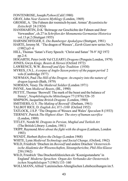- FONTENROSE,Joseph *Python* (Calif.1980)
- GRAY, John *Near Eastern Mythlogy* (London, 1969)
- GROSSE, A. 'Die Fahnen der roemisch-byzant. Armee' *Byzantinische Zeitschrift* 24 (1924)
- HANSMARTIN, D-K 'Beitraege zur Geschichte der Fahnen und ihrer Verwandten', ch.27 in *Schriften der Monumenta Germaniae Historica* vol.13 pt.2 (Stuttgart 1955)
- HARNISCHFEGER, E. *Die Bamberger Apokalypse* (Stuttgart, 1981)
- HARTE, Jeremy M. 'The dragon of Wessex', *Earth Giant* new series No.3  $(1982)$  p3–6
- HILL, Thomas 'Satan's Fiery Speech: 'Christ and Satan' 78-9' *NQ* 1972 pp.2-4.
- HOGARTH, Peter (with Val CLEARY) *Dragons* (Penguin:London, 1979)
- JONES, Gwyn *Kings, Beasts & Heroes* (Oxford 1972)
- LAWRENCE, W.W. *Beowulf and Epic Tradition* (1930)
- MYRES, J.N.L. *A corpus of Anglo-Saxon pottery of the pagan period* 2 vols(Cambridge 1977)
- NEWMAN, Paul *The Hill of the Dragon: An enquiry into the nature of dragon legends*(Bath, 1979)
- NORMAN, Vesey *The Medieval Soldier* (London 1971)
- PAYNE, Ann *Medieval Beasts*, (BL, 1990)
- PETTIT, Thomas'Beowulf: The mark of the beast and the balance of frenzy', *Neuphilologische Mitteilungen* 77 (1976) 526–35
- SIMPSON,Jacqueline *British Dragons* (London, 1980)
- SMITHERS, G.V. *The Making of Beowulf* (Durham, 1961)
- TALBOT RICE, D. *English Art, 871-1100* (Oxford 1952)
- TATLOCK, J.S.P. 'The Dragons of Wessex and Wales' *Speculum* 8 (1933)
- TIERNEY, Patrick *The Highest Altar: The story of human sacrifice* (London, 1989)
- TITLEY, Norah M. *Dragons in Persian, Mughal and Turkish Art* (The British Library: London, 1981)
- TRIPP, Raymond *More about the fight with the dragon* (Lanham, London 1983)
- WENDT, Herbert *Before the Deluge* (London 1968)
- WHITE, Lynn *Medieval Technology and Social Change,* (Oxford, 1962)
- WILD, Friedrich 'Drachen im *Beowulf* und andere Drachen' *Oesterreichische Akademie der Wissenschaften, Sitzungsberichte, Phil-Hist Klasse* 238 (1962)
- WILD, Friedrich 'Das Drachenfeldzeichen als'Koenigsstandarte'in England' *Moderne Sprachen: Organ des Verbandes der Oesterreichischen Neuphilologen* 7 (1963) 133–160
- WOLLMANN, Alfred 'Lateinischen-Altenglischen Lehnbezeihungen im 5.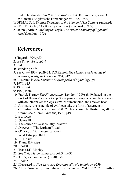und 6. Jahrhundert'in *Britain 400-600* ed. A. Bammesberger and A. Wollmann (Anglistische Forschungen vol. 205, 1990) WORMALD, F. *English Drawings of the 10th and 11th Century* (undated) WRIGHT, Dudley *The Book of Vampires* (New York, 1987). ZAJONC, Arthur *Catching the Light: The entwined history of light and mind* (London, 1993)

# **References**

- 1: Hogarth 1979, p50
- 2: see Titley 1981, pp3-7
- 3: ibid.
- 4: Brandon p57 fn1
- 5: See Gray (1969) pp29-32; D.S.Russell *The Method and Message of Jewish Apocalyptic* (London 1964) p123
- 6: Illustrated in *New Larousse Encyclopedia of Mythology* p91
- 7: 1979, p15
- 8: 1979, p24
- 9: 1980, Plate 1
- 10: Patrick Tierney *The Highest Altar*(London, 1989) ch.19, based on the work of Hyam Maccoby. On p393 he prints examples of amulets or seals with double snakes for legs, a (male) human torse, and chicken head.
- 11: Ahriman, 'the principle of evil', can take the form of a serpent in Zoroastrian belief - Simspon 1980 p23. For a possible illustration, after a bronze, see Allen & Griffiths, 1979, p19.
- $12$ <sup>c</sup>s v *draca*
- 13: *Opera* III
- 14: The source of West country 'drake'?
- 15: *Dræcca* in 'The Durham Ritual.
- 16: *Old English Grammar* para.495
- 17: Wild 1962 pp.10-11
- 18: III,116 etc
- 19: Trans. E.V.Rieu
- 20: Book 8
- 21: Trans.J.H. Mozley
- 22: See Ovid *Metamorphoses* Book 3 line 32
- 23: 3.355; see Fontenrose (1980) p58
- 24: Book 2
- 25: Illustrated in *New Larousse Encyclopedia of Mythology* p259
- 26: Ælfric *Grammar*, from Latin *trisulcam*: and see Wild 1962 p7 for further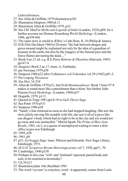Latin references.

- 27: See Allen & Griffiths 1979 illustration p101
- 28: Illustration Simpson 1980 pl.11
- 29: Illustration Allen & Griffiths 1979, p32
- 30: See J M. MacFie *Myths and Legends of India* (London, 1924) p89; for a further account see Donnas Rosenberg *World Mythology* (London, 1986, pp358-60)
- 31: The same story is retold in Ælfric's Cath.Hom. II, 18 (Philip & James).
- 32: H.R.Ellis Davidson 1969 p120 notes "the link between dragon and grave-mound might be explained not only by the idea of a guardian of treasure in the earth, but also by the imagery of the funeral pyre and the fierce flames devouring the dead...."
- 33: Book 4 no.21 ed. e.g. B.E.Perry *Babrius & Phaedrus*(Harvard, 1965) pp147-8
- 34: *Imagines* Book 2 no.17, trans. A. Fairbanks.
- 35: per Newman 1979 p38
- 36: Simpson 1980 p22 after *Folkminner och Foktenkar* vol.29 (1942) p81-5.
- 37: Per Leipzig *Thesaurus*
- 38: *Nat.Hist.* 16.234
- 39: Allen & Griffiths 1979 p31, but Ovid *Metamorphoses* Book 3 lines 97-8 makes it sound more like a punishment than a boon. See further John Pinsent *Greek Mythology* (London, 1969) p57
- 40: Hogarth, 1979, p113
- 41: Quoted in Tripp 1983 pp18-19 re *Gull-Thoris Saga*
- 42: See Pettit 1976 p531
- 43: Simpson 1980 p38
- 44: "Sandy's fear returned as soon as she had stopped laughing. She saw the slow jerkily moving file tremble with life, she saw it all of a piece like one dragon's body which had no right to be in the city and yet would not go away and was unslayable." Muriel Spark *The Prime of Miss Jean Brodie*, 1961, ch.2, re a queue of unemployed waiting to enter a dole office in pre-war Edinburgh.
- 45: 1969, p28
- 46: 1961, p8
- 47: p51, *Eyrbyggja Saga* trans. Pálsson and Edwards, New Saga Library, Edinburgh, 1973.
- 48: *M.G.H. Scriptores Rerum Merovingicarum*, vol.7, 1920, pp51, 70.
- 49: Cambridge, 1940 p338
- 50: Perhaps in this case 'wife' and 'husband'represent parted body and soul, to be reunited at doomsday?
- 51: Ch.34 §11
- 52: Illustration plate 166, Buchthal 1983
- 53: The word 'wyvern'is a mystery word it apparently comes from Latin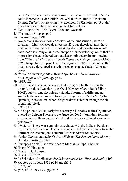'viper' at a time when the semi-vowel 'w' had not yet ceded to 'v/b' could it come to us via Celtic? - cf. Welsh *wiber*. But M.F.Wakelin *English Dialects: An Introduction* (London, 1972) notes, pp95-6, that v/w changes are also evidenced in the Middle Ages

- 54: See Talbot Rice 1952, Payne 1990 and Wormald
- 55: Illustration Simpson pl.9
- 56: Harnischfeger, 1981
- 57: We perhaps are now more conscious of the dinosaurian nature of dragons- "Man's Mesozoic ancestors, Dacqué theorized, must have lived with dinosaurs and other great reptiles; and these beasts would have made so strong an impression upon their developing minds that the impressions became hereditary and has continued on in our imaginations." Thus re 1924 Herbert Wendt *Before the Deluge* (London 1968) p298.Jacqueline Simpson (*British Dragons*, 1980) also considersthat dragons were developed as myths based on chance finds of dinosaur bones.
- 58: "a cycle of later legends with an Aryan basis" *New Larousse Encyclopedia of Mythology* p322
- 59: 1933, p229
- 60: There had early been the legend that a dragon'steeth, sown in the ground, produced warriors(e.g. Ovid *Metamorphoses* Book 3 lines 106ff), but its symbolic role as a standard seems of a different era; similarly the occasional ref. to winged dragons e.g. Ovid *Met.*7,234 "pennisque draconum" where dragons draw a chariot through the air, seems untypical.
- 61: 1969 p119
- 62: Cf. Cyprianus Gallus, early fifth centuryin his notes on the Heptateuch, quoted by Leipzig Thesaurus s.v.draco col.2062 - "tumidum formare draconem aere flavo iussus" - 'ordered to form a swelling dragon with golden air'
- 63: 1962, p8. 'These war-symbols, associated with the Indians, Persians, Scythians, Parthians and Dacians, were adopted by the Romans from the Parthians or Dacians, and converted into standards for cohorts.'.
- 64: Arrian *Tactica* quoted by Graham Webster *The Roman Imperial Army* (London 1969) p136 fn3
- 65: Except as a detail -see reference to Martianus Capella below
- 66: Trans. N. Platnauer
- 67: Trans. H.J.Thomson
- 68: Trans.J.C.Rolfe
- 69: In Schrader's *Reallexicon derIndogermanischen Altertumskunde* p409
- 70: Quoted by Tatlock 1933 p224 and fn1-2
- 71: 1962, p45
- 72: p45, cf. Tatlock 1933 pp224-5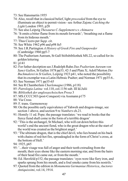- 73: See Hansmartin 1955
- 74: Also, recall that in classical belief, light *proceeded* from the eye to illuminate an object to permit vision -see Arthur Zajonc *Catching the Light* London 1993, p28
- 75: See also Leipzig *Thesaurus C-Supplement* s.v. *chimaera*
- 76: 'It omits a bitter flame from its mouth forwards'; 'breathing out a flame from its hideous mouth.'
- 77: Thus Cicero per *Supp.* cit.
- 78: See White 1962 p96 and p98 fn5
- 79: See J.R.Partington *A History of Greek Fire and Gunpowder* (Cambridge 1960 pp5-7
- 80: The Psalterium Aureum, St Gall Stiftsbibliothek MS.22, so called for its golden lettering
- 81: p141
- 82: For futher decription see J.Rudolph Rahn *Das Psalterium Aureum von Sanct Gallen*, St Gallen 1878 pp33, 42-3 and Plate X; Adolf Merton *Die Buchmalerei in St Gallen*, Leipzig 1923 p41, who noted the possibility that its exemplar was a Latin-Hebraic Psalter; and Norman 1971 pp35-6..
- 83: See Norman 1971 pp35-65
- 84: See R Chamberlain *Charlemagne* (1986, p118)
- 85: *Patrologia Latina* vol.110, col.1156 sub. III Id.Julii
- 86: *Bibliothek der anglosaechsischen Prosa* 3
- 87: MS.CCCC303 (post-Conquest) via Assmann p175
- 88: Via Cross
- 89: F. trans. Garmonsway
- 90: On the possible early equivalence of Yahweh and dragon-image, see section 1 above, and section 9 re *Numbers* ch.21.
- 91: Homily 11 ed. Pope; the passage translates: 'we read in booksthat the fierce fiend shall come in the form of a terrible dragon'
- 92: 'This is the archangel, St Michael, who will cut down before this world's end the ancient fiend, who is the great dragon who at the start of the world was created asthe brightest angel.'
- 93: 'The ultimate dragon, that isthe chief devil, who lies bound on his back with chains of red-hot fire, spreadeagled in the form of Christ's cross, at the bottom of Hell.'
- 94: 1925, p65
- 95: '...their visage was full of anger and their teeth extruding from the mouth; their eyes shone like the eastern morning star, and from the hairs of their head fire came out, or from the mouth.'
- 96: Ed. Herzfeld p152; the passage translates: 'eyes were like fiery iron, and sparks sprang from his mouth, and a foul smoke came from his nostrils.'
- 97: Quoted from the edition in *Monumenta Germaniae Historica*, *Auctores Antiquissimi*, vol.14, 1914.